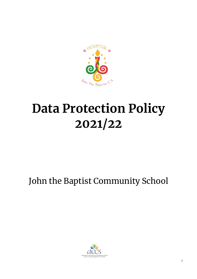

# **Data Protection Policy 2021/22**

# John the Baptist Community School

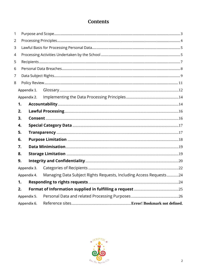### **Contents**

| 1              |    |             |                                                                    |  |
|----------------|----|-------------|--------------------------------------------------------------------|--|
| $\overline{2}$ |    |             |                                                                    |  |
| 3              |    |             |                                                                    |  |
| 4              |    |             |                                                                    |  |
| 5              |    |             |                                                                    |  |
| 6              |    |             |                                                                    |  |
| 7              |    |             |                                                                    |  |
| 8              |    |             |                                                                    |  |
|                |    | Appendix 1. |                                                                    |  |
|                |    | Appendix 2. |                                                                    |  |
|                | 1. |             |                                                                    |  |
|                | 2. |             |                                                                    |  |
|                | 3. |             |                                                                    |  |
| 4.             |    |             |                                                                    |  |
| 5.             |    |             |                                                                    |  |
| 6.             |    |             |                                                                    |  |
| 7.             |    |             |                                                                    |  |
| 8.             |    |             |                                                                    |  |
|                | 9. |             |                                                                    |  |
|                |    | Appendix 3. |                                                                    |  |
|                |    | Appendix 4. | Managing Data Subject Rights Requests, Including Access Requests24 |  |
|                | 1. |             |                                                                    |  |
|                | 2. |             |                                                                    |  |
|                |    | Appendix 5. |                                                                    |  |
| Appendix 6.    |    |             |                                                                    |  |

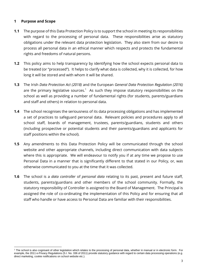#### <span id="page-2-0"></span>**1 Purpose and Scope**

- **1.1** The purpose of this Data Protection Policy is to support the school in meeting its responsibilities with regard to the processing of personal data. These responsibilities arise as statutory obligations under the relevant data protection legislation. They also stem from our desire to process all personal data in an ethical manner which respects and protects the fundamental rights and freedoms of natural persons.
- **1.2** This policy aims to help transparency by identifying how the school expects personal data to be treated (or "processed"). It helps to clarify what data is collected, why it is collected, for how long it will be stored and with whom it will be shared.
- **1.3** The Irish *Data Protection Act (2018)* and the European *General Data Protection Regulation (2016)* are the primary legislative sources.<sup>1</sup> As such they impose statutory responsibilities on the school as well as providing a number of fundamental rights (for students, parents/guardians and staff and others) in relation to personal data.
- **1.4** The school recognises the seriousness of its data processing obligations and has implemented a set of practices to safeguard personal data. Relevant policies and procedures apply to all school staff, boards of management, trustees, parents/guardians, students and others (including prospective or potential students and their parents/guardians and applicants for staff positions within the school).
- **1.5** Any amendments to this Data Protection Policy will be communicated through the school website and other appropriate channels, including direct communication with data subjects where this is appropriate. We will endeavour to notify you if at any time we propose to use Personal Data in a manner that is significantly different to that stated in our Policy, or, was otherwise communicated to you at the time that it was collected.
- **1.6** The school is a *data controller* of *personal data* relating to its past, present and future staff, students, parents/guardians and other members of the school community. Formally, the statutory responsibility of Controller is assigned to the Board of Management. The Principal is assigned the role of co-ordinating the implementation of this Policy and for ensuring that all staff who handle or have access to Personal Data are familiar with their responsibilities.

<sup>&</sup>lt;sup>1</sup> The school is also cognisant of other legislation which relates to the processing of personal data, whether in manual or in electronic form. For example, the 2011 e-Privacy Regulations (S.I. No. 336 of 2011) provide statutory guidance with regard to certain data processing operations (e.g. direct marketing, cookie notifications on school website etc.).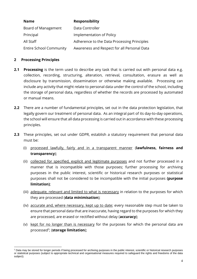| <b>Name</b>                    | <b>Responsibility</b>                       |
|--------------------------------|---------------------------------------------|
| Board of Management            | Data Controller                             |
| Principal                      | Implementation of Policy                    |
| All Staff                      | Adherence to the Data Processing Principles |
| <b>Entire School Community</b> | Awareness and Respect for all Personal Data |

#### <span id="page-3-0"></span>**2 Processing Principles**

- **2.1 Processing** is the term used to describe any task that is carried out with personal data e.g. collection, recording, structuring, alteration, retrieval, consultation, erasure as well as disclosure by transmission, dissemination or otherwise making available. Processing can include any activity that might relate to personal data under the control of the school, including the storage of personal data, regardless of whether the records are processed by automated or manual means.
- **2.2** There are a number of fundamental principles, set out in the data protection legislation, that legally govern our treatment of personal data. As an integral part of its day-to-day operations, the school will ensure that all data processing is carried out in accordance with these processing principles.
- **2.3** These principles, set out under GDPR, establish a statutory requirement that personal data must be:
	- (i) processed lawfully, fairly and in a transparent manner (**lawfulness, fairness and transparency**);
	- (ii) collected for specified, explicit and legitimate purposes and not further processed in a manner that is incompatible with those purposes; further processing for archiving purposes in the public interest, scientific or historical research purposes or statistical purposes shall not be considered to be incompatible with the initial purposes **(purpose limitation)**;
	- (iii) adequate, relevant and limited to what is necessary in relation to the purposes for which they are processed (**data minimisation**);
	- (iv) accurate and, where necessary, kept up to date; every reasonable step must be taken to ensure that personal data that are inaccurate, having regard to the purposes for which they are processed, are erased or rectified without delay (**accuracy**);
	- (v) kept for no longer than is necessary for the purposes for which the personal data are processed<sup>2</sup>; (**storage limitation**);

<sup>&</sup>lt;sup>2</sup> Data may be stored for longer periods if being processed for archiving purposes in the public interest, scientific or historical research purposes or statistical purposes (subject to appropriate technical and organisational measures required to safeguard the rights and freedoms of the data subject).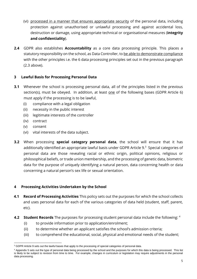- (vi) processed in a manner that ensures appropriate security of the personal data, including protection against unauthorised or unlawful processing and against accidental loss, destruction or damage, using appropriate technical or organisational measures (**integrity and confidentiality**).
- **2.4** GDPR also establishes **Accountability** as a core data processing principle. This places a statutory responsibility on the school, as Data Controller, to be able to demonstrate compliance with the other principles i.e. the 6 data processing principles set out in the previous paragraph (2.3 above).

#### <span id="page-4-0"></span>**3 Lawful Basis for Processing Personal Data**

- **3.1** Whenever the school is processing personal data, all of the principles listed in the previous section(s), must be obeyed. In addition, at least one of the following bases (GDPR Article 6) must apply if the processing is to be lawful,
	- (i) compliance with a legal obligation
	- (ii) necessity in the public interest
	- (iii) legitimate interests of the controller
	- (iv) contract
	- (v) consent
	- (vi) vital interests of the data subject.
- **3.2** When processing **special category personal data**, the school will ensure that it has additionally identified an appropriate lawful basis under GDPR Article 9.<sup>3</sup> Special categories of personal data are those revealing racial or ethnic origin, political opinions, religious or philosophical beliefs, or trade union membership, and the processing of genetic data, biometric data for the purpose of uniquely identifying a natural person, data concerning health or data concerning a natural person's sex life or sexual orientation.

#### <span id="page-4-1"></span>**4 Processing Activities Undertaken by the School**

- **4.1 Record of Processing Activities** This policy sets out the purposes for which the school collects and uses personal data for each of the various categories of data held (student, staff, parent, etc).
- **4.2 Student Records** The purposes for processing student personal data include the following: <sup>4</sup>
	- (i) to provide information prior to application/enrolment;
	- (ii) to determine whether an applicant satisfies the school's admission criteria;
	- (iii) to comprehend the educational, social, physical and emotional needs of the student;

<sup>&</sup>lt;sup>3</sup> GDPR Article 9 sets out the lawful bases that apply to the processing of special categories of personal data.

<sup>4</sup> Appendix 5 sets out the type of personal data being processed by the school and the purposes for which this data is being processed. This list is likely to be subject to revision from time to time. For example, changes in curriculum or legislation may require adjustments in the personal data processing.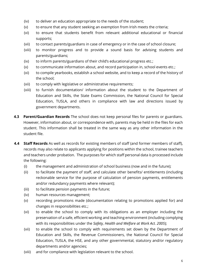- (iv) to deliver an education appropriate to the needs of the student;
- (v) to ensure that any student seeking an exemption from Irish meets the criteria;
- (vi) to ensure that students benefit from relevant additional educational or financial supports;
- (vii) to contact parents/guardians in case of emergency or in the case of school closure;
- (viii) to monitor progress and to provide a sound basis for advising students and parents/guardians;
- (ix) to inform parents/guardians of their child's educational progress etc.;
- (x) to communicate information about, and record participation in, school events etc.;
- (xi) to compile yearbooks, establish a school website, and to keep a record of the history of the school;
- (xii) to comply with legislative or administrative requirements;
- (xiii) to furnish documentation/ information about the student to the Department of Education and Skills, the State Exams Commission, the National Council for Special Education, TUSLA, and others in compliance with law and directions issued by government departments.
- **4.3 Parent/Guardian Records** The school does not keep personal files for parents or guardians. However, information about, or correspondence with, parents may be held in the files for each student. This information shall be treated in the same way as any other information in the student file.
- **4.4 Staff Records** As well as records for existing members of staff (and former members of staff), records may also relate to applicants applying for positions within the school, trainee teachers and teachers under probation. The purposes for which staff personal data is processed include the following:
	- (i) the management and administration of school business (now and in the future);
	- (ii) to facilitate the payment of staff, and calculate other benefits/ entitlements (including reckonable service for the purpose of calculation of pension payments, entitlements and/or redundancy payments where relevant);
	- (iii) to facilitate pension payments in the future;
	- (iv) human resources management;
	- (v) recording promotions made (documentation relating to promotions applied for) and changes in responsibilities etc.;
	- (vi) to enable the school to comply with its obligations as an employer including the preservation of a safe, efficient working and teaching environment (including complying with its responsibilities under the *Safety, Health and Welfare at Work Act. 2005*);
	- (vii) to enable the school to comply with requirements set down by the Department of Education and Skills, the Revenue Commissioners, the National Council for Special Education, TUSLA, the HSE, and any other governmental, statutory and/or regulatory departments and/or agencies;
	- (viii) and for compliance with legislation relevant to the school.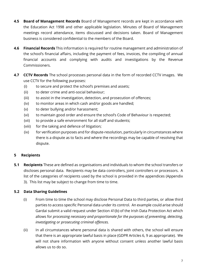- **4.5 Board of Management Records** Board of Management records are kept in accordance with the Education Act 1998 and other applicable legislation. Minutes of Board of Management meetings record attendance, items discussed and decisions taken. Board of Management business is considered confidential to the members of the Board.
- **4.6 Financial Records** This information is required for routine management and administration of the school's financial affairs, including the payment of fees, invoices, the compiling of annual financial accounts and complying with audits and investigations by the Revenue Commissioners.
- **4.7 CCTV Records** The school processes personal data in the form of recorded CCTV images. We use CCTV for the following purposes:
	- (i) to secure and protect the school's premises and assets;
	- (ii) to deter crime and anti-social behaviour;
	- (iii) to assist in the investigation, detection, and prosecution of offences;
	- (iv) to monitor areas in which cash and/or goods are handled;
	- (v) to deter bullying and/or harassment;
	- (vi) to maintain good order and ensure the school's Code of Behaviour is respected;
	- (vii) to provide a safe environment for all staff and students;
	- (viii) for the taking and defence of litigation;
	- (ix) for verification purposes and for dispute-resolution, particularly in circumstances where there is a dispute as to facts and where the recordings may be capable of resolving that dispute.

#### <span id="page-6-0"></span>**5 Recipients**

**5.1 Recipients** These are defined as organisations and individuals to whom the school transfers or discloses personal data. Recipients may be data controllers, joint controllers or processors. A list of the categories of recipients used by the school is provided in the appendices (Appendix 3). This list may be subject to change from time to time.

#### **5.2 Data Sharing Guidelines**

- (i) From time to time the school may disclose Personal Data to third parties, or allow third parties to access specific Personal data under its control. An example could arise should Gardai submit a valid request under Section 41(b) of the Irish Data Protection Act which allows for *processing necessary and proportionate for the purposes of preventing, detecting, investigating or prosecuting criminal offences.*
- (ii) In all circumstances where personal data is shared with others, the school will ensure that there is an appropriate lawful basis in place (GDPR Articles 6, 9 as appropriate). We will not share information with anyone without consent unless another lawful basis allows us to do so.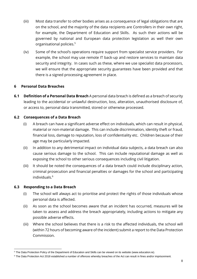- (iii) Most data transfer to other bodies arises as a consequence of legal obligations that are on the school, and the majority of the data recipients are Controllers in their own right, for example, the Department of Education and Skills. As such their actions will be governed by national and European data protection legislation as well their own organisational policies.<sup>5</sup>
- (iv) Some of the school's operations require support from specialist service providers. For example, the school may use remote IT back-up and restore services to maintain data security and integrity. In cases such as these, where we use specialist data processors, we will ensure that the appropriate security guarantees have been provided and that there is a signed processing agreement in place.

#### <span id="page-7-0"></span>**6 Personal Data Breaches**

**6.1 Definition of a Personal Data Breach** A personal data breach is defined as a breach of security leading to the accidental or unlawful destruction, loss, alteration, unauthorised disclosure of, or access to, personal data transmitted, stored or otherwise processed.

#### **6.2 Consequences of a Data Breach**

- (i) A breach can have a significant adverse effect on individuals, which can result in physical, material or non-material damage. This can include discrimination, identity theft or fraud, financial loss, damage to reputation, loss of confidentiality etc. Children because of their age may be particularly impacted.
- (ii) In addition to any detrimental impact on individual data subjects, a data breach can also cause serious damage to the school. This can include reputational damage as well as exposing the school to other serious consequences including civil litigation.
- (iii) It should be noted the consequences of a data breach could include disciplinary action, criminal prosecution and financial penalties or damages for the school and participating individuals.<sup>6</sup>

#### **6.3 Responding to a Data Breach**

- (i) The school will always act to prioritise and protect the rights of those individuals whose personal data is affected.
- (ii) As soon as the school becomes aware that an incident has occurred, measures will be taken to assess and address the breach appropriately, including actions to mitigate any possible adverse effects.
- (iii) Where the school believes that there is a risk to the affected individuals, the school will (within 72 hours of becoming aware of the incident) submit a report to the Data Protection Commission.

<sup>5</sup> The Data Protection Policy of the Department of Education and Skills can be viewed on its website (www.education.ie).

<sup>&</sup>lt;sup>6</sup> The Data Protection Act 2018 established a number of offences whereby breaches of the Act can result in fines and/or imprisonment.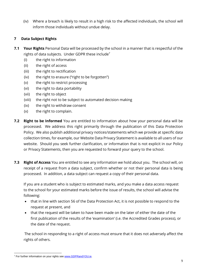(iv) Where a breach is likely to result in a high risk to the affected individuals, the school will inform those individuals without undue delay.

#### <span id="page-8-0"></span>**7 Data Subject Rights**

- **7.1 Your Rights** Personal Data will be processed by the school in a manner that is respectful of the rights of data subjects. Under GDPR these include<sup>7</sup>
	- (i) the right to information
	- (ii) the right of access
	- (iii) the right to rectification
	- (iv) the right to erasure ("right to be forgotten")
	- (v) the right to restrict processing
	- (vi) the right to data portability
	- (vii) the right to object
	- (viii) the right not to be subject to automated decision making
	- (ix) the right to withdraw consent
	- (x) the right to complain.
- **7.2 Right to be Informed** You are entitled to information about how your personal data will be processed. We address this right primarily through the publication of this Data Protection Policy. We also publish additional privacy notices/statements which we provide at specific data collection times, for example, our Website Data Privacy Statement is available to all users of our website. Should you seek further clarification, or information that is not explicit in our Policy or Privacy Statements, then you are requested to forward your query to the school.
- **7.3 Right of Access** You are entitled to see any information we hold about you. The school will, on receipt of a request from a data subject, confirm whether or not their personal data is being processed. In addition, a data subject can request a copy of their personal data.

If you are a student who is subject to estimated marks, and you make a data access request to the school for your estimated marks before the issue of results, the school will advise the following:

- that in line with section 56 of the Data Protection Act, it is not possible to respond to the request at present, and
- that the request will be taken to have been made on the later of either the date of the first publication of the results of the 'examination' (i.e. the Accredited Grades process), or the date of the request.

The school in responding to a right of access must ensure that it does not adversely affect the rights of others.

<sup>&</sup>lt;sup>7</sup> For further information on your rights see www.GDPRandYOU.ie.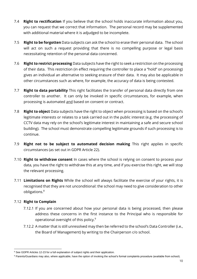- 7.4 **Right to rectification** If you believe that the school holds inaccurate information about you, you can request that we correct that information. The personal record may be supplemented with additional material where it is adjudged to be incomplete.
- 7.5 **Right to be forgotten** Data subjects can ask the school to erase their personal data. The school will act on such a request providing that there is no compelling purpose or legal basis necessitating retention of the personal data concerned.
- 7.6 **Right to restrict processing** Data subjects have the right to seek a restriction on the processing of their data. This restriction (in effect requiring the controller to place a "hold" on processing) gives an individual an alternative to seeking erasure of their data. It may also be applicable in other circumstances such as where, for example, the accuracy of data is being contested.
- 7.7 **Right to data portability** This right facilitates the transfer of personal data directly from one controller to another. It can only be invoked in specific circumstances, for example, when processing is automated and based on consent or contract.
- 7.8 **Right to object** Data subjects have the right to object when processing is based on the school's legitimate interests or relates to a task carried out in the public interest (e.g. the processing of CCTV data may rely on the school's legitimate interest in maintaining a safe and secure school building). The school must demonstrate compelling legitimate grounds if such processing is to continue.
- 7.9 **Right not to be subject to automated decision making** This right applies in specific circumstances (as set out in GDPR Article 22).
- 7.10 **Right to withdraw consent** In cases where the school is relying on consent to process your data, you have the right to withdraw this at any time, and if you exercise this right, we will stop the relevant processing.
- 7.11 **Limitations on Rights** While the school will always facilitate the exercise of your rights, it is recognised that they are not unconditional: the school may need to give consideration to other obligations.<sup>8</sup>

#### 7.12 **Right to Complain**

- 7.12.1 If you are concerned about how your personal data is being processed, then please address these concerns in the first instance to the Principal who is responsible for operational oversight of this policy.<sup>9</sup>
- 7.12.2 A matter that is still unresolved may then be referred to the school's Data Controller (i.e., the Board of Management) by writing to the Chairperson c/o school.

<sup>&</sup>lt;sup>8</sup> See GDPR Articles 12-23 for a full explanation of subject rights and their application.

<sup>&</sup>lt;sup>9</sup> Parents/Guardians may also, where applicable, have the option of invoking the school's formal complaints procedure (available from school).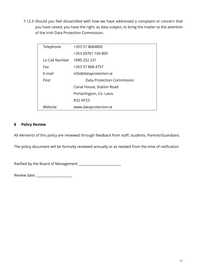7.12.3 Should you feel dissatisfied with how we have addressed a complaint or concern that you have raised, you have the right, as data subject, to bring the matter to the attention of the Irish Data Protection Commission.

| Telephone      | +353 57 8684800            |
|----------------|----------------------------|
|                | +353 (0)761 104 800        |
| Lo Call Number | 1890 252 231               |
| Fax            | +353 57 868 4757           |
| F-mail         | info@dataprotection.ie     |
| Post           | Data Protection Commission |
|                | Canal House, Station Road  |
|                | Portarlington, Co. Laois   |
|                | R32 AP23                   |
| Website        | www.dataprotection.ie      |

#### <span id="page-10-0"></span>**8 Policy Review**

All elements of this policy are reviewed through feedback from staff, students, Parents/Guardians.

The policy document will be formally reviewed annually or as needed from the time of ratification

Ratified by the Board of Management \_\_\_\_\_\_\_\_\_\_\_\_\_\_\_\_\_\_\_\_\_\_\_\_\_\_

Review date: \_\_\_\_\_\_\_\_\_\_\_\_\_\_\_\_\_\_\_\_\_\_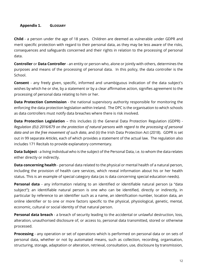#### <span id="page-11-0"></span>**Appendix 1. GLOSSARY**

**Child** - a person under the age of 18 years. Children are deemed as vulnerable under GDPR and merit specific protection with regard to their personal data, as they may be less aware of the risks, consequences and safeguards concerned and their rights in relation to the processing of personal data.

**Controller** or **Data Controller** - an entity or person who, alone or jointly with others, determines the purposes and means of the processing of personal data. In this policy, the data controller is the School.

**Consent** - any freely given, specific, informed and unambiguous indication of the data subject's wishes by which he or she, by a statement or by a clear affirmative action, signifies agreement to the processing of personal data relating to him or her.

**Data Protection Commission** - the national supervisory authority responsible for monitoring the enforcing the data protection legislation within Ireland. The DPC is the organisation to which schools as data controllers must notify data breaches where there is risk involved.

**Data Protection Legislation** – this includes (i) the General Data Protection Regulation (GDPR) - *Regulation (EU) 2016/679 on the protection of natural persons with regard to the processing of personal data and on the free movement of such data*, and (ii) the Irish Data Protection Act (2018).GDPR is set out in 99 separate *Articles*, each of which provides a statement of the actual law. The regulation also includes 171 Recitals to provide explanatory commentary.

**Data Subject** - a living individual who is the subject of the Personal Data, i.e. to whom the data relates either directly or indirectly.

**Data concerning health** - personal data related to the physical or mental health of a natural person, including the provision of health care services, which reveal information about his or her health status. This is an example of special category data (as is data concerning special education needs).

**Personal data** - any information relating to an identified or identifiable natural person (a "data subject"); an identifiable natural person is one who can be identified, directly or indirectly, in particular by reference to an identifier such as a name, an identification number, location data, an online identifier or to one or more factors specific to the physical, physiological, genetic, mental, economic, cultural or social identity of that natural person.

**Personal data breach** - a breach of security leading to the accidental or unlawful destruction, loss, alteration, unauthorised disclosure of, or access to, personal data transmitted, stored or otherwise processed.

**Processing** - any operation or set of operations which is performed on personal data or on sets of personal data, whether or not by automated means, such as collection, recording, organisation, structuring, storage, adaptation or alteration, retrieval, consultation, use, disclosure by transmission,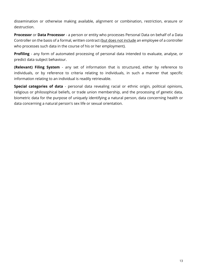dissemination or otherwise making available, alignment or combination, restriction, erasure or destruction.

**Processor** or **Data Processor** - a person or entity who processes Personal Data on behalf of a Data Controller on the basis of a formal, written contract (but does not include an employee of a controller who processes such data in the course of his or her employment).

**Profiling** - any form of automated processing of personal data intended to evaluate, analyse, or predict data subject behaviour.

**(Relevant) Filing System** - any set of information that is structured, either by reference to individuals, or by reference to criteria relating to individuals, in such a manner that specific information relating to an individual is readily retrievable.

**Special categories of data** - personal data revealing racial or ethnic origin, political opinions, religious or philosophical beliefs, or trade union membership, and the processing of genetic data, biometric data for the purpose of uniquely identifying a natural person, data concerning health or data concerning a natural person's sex life or sexual orientation.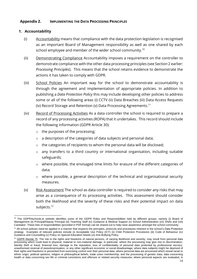#### <span id="page-13-0"></span>**Appendix 2. IMPLEMENTING THE DATA PROCESSING PRINCIPLES**

#### <span id="page-13-1"></span>**1. Accountability**

- (i) Accountability means that compliance with the data protection legislation is recognised as an important Board of Management responsibility as well as one shared by each school employee and member of the wider school community. $^{10}$
- (ii) Demonstrating Compliance Accountability imposes a requirement on the controller to demonstrate compliance with the other data processing principles (see Section 2 earlier: *Processing Principles*). This means that the school retains evidence to demonstrate the actions it has taken to comply with GDPR.
- (iii) School Policies An important way for the school to demonstrate accountability is through the agreement and implementation of appropriate policies. In addition to publishing a *Data Protection Policy* this may include developing other policies to address some or all of the following areas (i) CCTV (ii) Data Breaches (iii) Data Access Requests (iv) Record Storage and Retention (v) Data Processing Agreements.<sup>11</sup>
- (iv) Record of Processing Activities As a data controller the school is required to prepare a record of any processing activities (ROPA) that it undertakes. This record should include the following information (GDPR Article 30):
	- o the purposes of the processing;
	- o a description of the categories of data subjects and personal data;
	- $\circ$  the categories of recipients to whom the personal data will be disclosed;
	- $\circ$  any transfers to a third country or international organisation, including suitable safeguards;
	- o where possible, the envisaged time limits for erasure of the different categories of data;
	- o where possible, a general description of the technical and organisational security measures.
- (v) Risk Assessment The school as data controller is required to consider any risks that may arise as a consequence of its processing activities. This assessment should consider both the likelihood and the severity of these risks and their potential impact on data subjects.<sup>12</sup>

<sup>&</sup>lt;sup>10</sup> The GDPR4schools ie website identifies some of the GDPR Roles and Responsibilities held by different groups, namely (i) Board of Management (ii) Principal/Deputy Principal (iii) Teaching Staff (iv) Guidance & Medical Support (v) School Administration (vii) SNAs and (viii) Caretaker. These lists of responsibilities (provided in PDF format) can be shared out to help raise awareness amongst the school community.

<sup>&</sup>lt;sup>11</sup> All school policies need be applied in a manner that respects the principles, protocols and procedures inherent in the school's Data Protection strategy. Examples of relevant policies include (i) Acceptable Use Policy (ICT) (ii) Child Protection Procedures (iii) Code of Behaviour (iv) Guidance and Counselling (v) Policy on Special Education Needs (vi) Anti-Bullying Policy.

<sup>&</sup>lt;sup>12</sup> GDPR Recital 75: The risk to the rights and freedoms of natural persons, of varying likelihood and severity, may result from personal data processing which could lead to physical, material or non-material damage, in particular: where the processing may give rise to discrimination, identity theft or fraud, financial loss, damage to the reputation, loss of confidentiality of personal data protected by professional secrecy, unauthorised reversal of pseudonymisation, or any other significant economic or social disadvantage; where data subjects might be deprived of their rights and freedoms or prevented from exercising control over their personal data; where personal data are processed which reveal racial or ethnic origin, political opinions, religion or philosophical beliefs, trade union membership, and the processing of genetic data, data concerning health or data concerning sex life or criminal convictions and offences or related security measures; where personal aspects are evaluated, in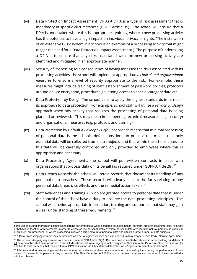- (vi) Data Protection Impact Assessment (DPIA) A DPIA is a type of risk assessment that is mandatory in specific circumstances (GDPR Article 35). The school will ensure that a DPIA is undertaken where this is appropriate, typically, where a new processing activity has the potential to have a high impact on individual privacy or rights. (The installation of an extensive CCTV system in a school is an example of a processing activity that might trigger the need for a Data Protection Impact Assessment.) The purpose of undertaking a DPIA is to ensure that any risks associated with the new processing activity are identified and mitigated in an appropriate manner.
- (vii) Security of Processing As a consequence of having assessed the risks associated with its processing activities, the school will implement appropriate *technical and organisational measures* to ensure a level of security appropriate to the risk. For example, these measures might include training of staff, establishment of password policies, protocols around device encryption, procedures governing access to special category data etc.
- (viii) Data Protection by Design The school aims to apply the highest standards in terms of its approach to data protection. For example, school staff will utilise a *Privacy by Design* approach when any activity that requires the processing of personal data is being planned or reviewed. This may mean implementing technical measures (e.g. security) and organisational measures (e.g. protocols and training).
- (ix) Data Protection by Default A *Privacy by Default* approach means that minimal processing of personal data is the school's default position. In practice this means that only essential data will be collected from data subjects, and that within the school, access to this data will be carefully controlled and only provided to employees where this is appropriate and necessary.
- (x) Data Processing Agreements: the school will put written contracts in place with organisations that process data on its behalf (as required under GDPR Article 28).<sup>13</sup>
- (xi) Data Breach Records: the school will retain records that document its handling of any personal data breaches. These records will clearly set out the facts relating to any personal data breach, its effects and the remedial action taken. <sup>14</sup>
- (xii) Staff Awareness and Training All who are granted access to personal data that is under the control of the school have a duty to observe the data processing principles. The school will provide appropriate information, training and support so that staff may gain a clear understanding of these requirements.<sup>15</sup>

particular analysing or predicting aspects concerning performance at work, economic situation, health, personal preferences or interests, reliability or behaviour, location or movements, in order to create or use personal profiles; where personal data of vulnerable natural persons, in particular of children, are processed; or where processing involves a large amount of personal data and affects a large number of data subjects.

<sup>13</sup> A Data Processing Agreement may be provided as a set of agreed clauses or as an addendum to a broader *(Third Party) Service Agreement*.

<sup>&</sup>lt;sup>14</sup> These record-keeping requirements are detailed under GDPR Article 33(5). Documentation need to be retained in school setting out details of all data breaches that have occurred. This includes those that were adjudged not to require notification to the Data Protection Commission (in addition to data breaches that required formal DPC notification via https://forms.dataprotection.ie/report-a-breach-of-personal-data).

<sup>&</sup>lt;sup>15</sup> All current and former employees of the school may be held accountable in relation to data processed by them during the performance of their duties. For example, employees acting in breach of the Data Protection Act 2018 could, in certain circumstances, be found to have committed a criminal offence.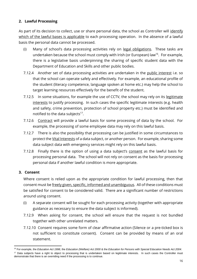#### <span id="page-15-0"></span>**2. Lawful Processing**

As part of its decision to collect, use or share personal data, the school as Controller will identify which of the lawful bases is applicable to each processing operation. In the absence of a lawful basis the personal data cannot be processed.

- (i) Many of school's data processing activities rely on legal obligations. These tasks are undertaken because the school must comply with Irish (or European) law<sup>16</sup>. For example, there is a legislative basis underpinning the sharing of specific student data with the Department of Education and Skills and other public bodies.
- 7.12.4 Another set of data processing activities are undertaken in the public interest i.e. so that the school can operate safely and effectively. For example, an educational profile of the student (literacy competence, language spoken at home etc.) may help the school to target learning resources effectively for the benefit of the student.
- 7.12.5 In some situations, for example the use of CCTV, the school may rely on its legitimate interests to justify processing. In such cases the specific legitimate interests (e.g. health and safety, crime prevention, protection of school property etc.) must be identified and notified to the data subjects $17$ .
- 7.12.6 Contract will provide a lawful basis for some processing of data by the school. For example, the processing of some employee data may rely on this lawful basis.
- 7.12.7 There is also the possibility that processing can be justified in some circumstances to protect the Vital Interests of a data subject, or another person. For example, sharing some data subject data with emergency services might rely on this lawful basis.
- 7.12.8 Finally there is the option of using a data subject's consent as the lawful basis for processing personal data. The school will not rely on consent as the basis for processing personal data if another lawful condition is more appropriate.

#### <span id="page-15-1"></span>**3. Consent**

Where consent is relied upon as the appropriate condition for lawful processing, then that consent must be freely given, specific, informed and unambiguous. All of these conditions must be satisfied for consent to be considered valid. There are a significant number of restrictions around using consent.

- (i) A separate consent will be sought for each processing activity (together with appropriate guidance as necessary to ensure the data subject is informed).
- 7.12.9 When asking for consent, the school will ensure that the request is not bundled together with other unrelated matters.
- 7.12.10 Consent requires some form of clear affirmative action (Silence or a pre-ticked box is not sufficient to constitute consent). Consent can be provided by means of an oral statement.

<sup>16</sup> For example, the *Education Act 1998*, the *Education (Welfare) Act 2000* & the *Education for Persons with Special Education Needs Act 2004*. <sup>17</sup> Data subiects have a right to object to processing that is undertaken based on legitimate interests. In such cases the Controller must demonstrate that there is an overriding need if the processing is to continue.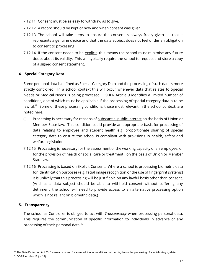- 7.12.11 Consent must be as easy to withdraw as to give.
- 7.12.12 A record should be kept of how and when consent was given.
- 7.12.13 The school will take steps to ensure the consent is always freely given i.e. that it represents a genuine choice and that the data subject does not feel under an obligation to consent to processing.
- 7.12.14 If the consent needs to be explicit, this means the school must minimise any future doubt about its validity. This will typically require the school to request and store a copy of a signed consent statement.

#### <span id="page-16-0"></span>**4. Special Category Data**

Some personal data is defined as Special Category Data and the processing of such data is more strictly controlled. In a school context this will occur whenever data that relates to Special Needs or Medical Needs is being processed. GDPR Article 9 identifies a limited number of conditions, one of which must be applicable if the processing of special category data is to be lawful.<sup>18</sup> Some of these processing conditions, those most relevant in the school context, are noted here.

- (i) Processing is necessary for reasons of substantial public interest on the basis of Union or Member State law. This condition could provide an appropriate basis for processing of data relating to employee and student health e.g. proportionate sharing of special category data to ensure the school is compliant with provisions in health, safety and welfare legislation.
- 7.12.15 Processing is necessary for the assessment of the working capacity of an employee; or for the provision of health or social care or treatment.. on the basis of Union or Member State law.
- 7.12.16 Processing is based on **Explicit Consent.** Where a school is processing biometric data for identification purposes (e.g. facial image recognition or the use of fingerprint systems) it is unlikely that this processing will be justifiable on any lawful basis other than consent. (And, as a data subject should be able to withhold consent without suffering any detriment, the school will need to provide access to an alternative processing option which is not reliant on biometric data.)

#### <span id="page-16-1"></span>**5. Transparency**

The school as Controller is obliged to act with *Transparency* when processing personal data. This requires the communication of specific information to individuals in advance of any processing of their personal data.<sup>19</sup>

<sup>&</sup>lt;sup>18</sup> The Data Protection Act 2018 makes provision for some additional conditions that can legitimise the processing of special category data. <sup>19</sup> GDPR Articles 13 (or 14)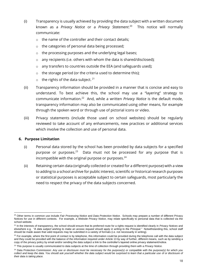- (i) Transparency is usually achieved by providing the data subject with a written document known as a *Privacy Notice* or a *Privacy Statement*. 20 This notice will normally communicate:
	- o the name of the controller and their contact details;
	- o the categories of personal data being processed;
	- o the processing purposes and the underlying legal bases;
	- o any recipients (i.e. others with whom the data is shared/disclosed);
	- o any transfers to countries outside the EEA (and safeguards used);
	- o the storage period (or the criteria used to determine this);
	- $\circ$  the rights of the data subject.<sup>21</sup>
- (ii) Transparency information should be provided in a manner that is concise and easy to understand. To best achieve this, the school may use a "layering" strategy to communicate information.<sup>22</sup> And, while a written *Privacy Notice* is the default mode, transparency information may also be communicated using other means, for example through the spoken word or through use of pictorial icons or video.
- (iii) Privacy statements (include those used on school websites) should be regularly reviewed to take account of any enhancements, new practices or additional services which involve the collection and use of personal data.

#### <span id="page-17-0"></span>**6. Purpose Limitation**

- (i) Personal data stored by the school has been provided by data subjects for a specified purpose or purposes. $23$  Data must not be processed for any purpose that is incompatible with the original purpose or purposes. $24$
- (ii) Retaining certain data (originally collected or created for a different purpose) with a view to adding to a school archive for public interest, scientific or historical research purposes or statistical purposes is acceptable subject to certain safeguards, most particularly the need to respect the privacy of the data subjects concerned.

<sup>20</sup> Other terms in common use include *Fair Processing Notice* and *Data Protection Notice*. Schools may prepare a number of different Privacy Notices for use in different contexts. For example, a *Website Privacy Notice*, may relate specifically to personal data that is collected via the school website.

<sup>&</sup>lt;sup>21</sup> In the interests of transparency, the school should ensure that its preferred route for a rights request is identified clearly in *Privacy Notices* and elsewhere e.g. *"A data subject wishing to make an access request should apply in writing to the Principal."* Notwithstanding this, school staff should be made aware that valid requests may be submitted in a variety of formats (i.e. not necessarily in writing).

<sup>&</sup>lt;sup>22</sup> For example, where the first point of contact is by telephone, this information could be provided during the telephone call with the data subject and they could be provided with the balance of the information required under Article 13 by way of further, different means, such as by sending a copy of the privacy policy by email and/or sending the data subject a link to the controller's layered online privacy statement/notice.

<sup>&</sup>lt;sup>23</sup> This purpose is usually communicated to data subjects at the time of collection through providing them with a *Privacy Notice*.

<sup>&</sup>lt;sup>24</sup> Data Protection Commission: Any use or disclosure must be necessary for the purpose(s) or compatible with the purpose(s) for which you *collect and keep the data. You should ask yourself whether the data subject would be surprised to learn that a particular use of or disclosure of their data is taking place.*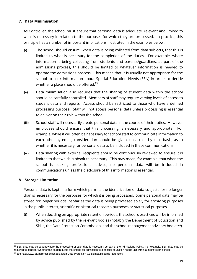#### <span id="page-18-0"></span>**7. Data Minimisation**

As Controller, the school must ensure that personal data is adequate, relevant and limited to what is necessary in relation to the purposes for which they are processed. In practice, this principle has a number of important implications illustrated in the examples below.

- (i) The school should ensure, when data is being collected from data subjects, that this is limited to what is necessary for the completion of the duties. For example, where information is being collecting from students and parents/guardians, as part of the admissions process, this should be limited to whatever information is needed to operate the admissions process. This means that it is usually not appropriate for the school to seek information about Special Education Needs (SEN) in order to decide whether a place should be offered. 25
- (ii) Data minimisation also requires that the sharing of student data within the school should be carefully controlled. Members of staff may require varying levels of access to student data and reports. Access should be restricted to those who have a defined processing purpose. Staff will not access personal data unless processing is essential to deliver on their role within the school.
- (iii) School staff will necessarily create personal data in the course of their duties. However employees should ensure that this processing is necessary and appropriate. For example, while it will often be necessary for school staff to communicate information to each other by email, consideration should be given, on a case by case basis, as to whether it is necessary for personal data to be included in these communications.
- (iv) Data sharing with external recipients should be continuously reviewed to ensure it is limited to that which is absolute necessary. This may mean, for example, that when the school is seeking professional advice, no personal data will be included in communications unless the disclosure of this information is essential.

#### <span id="page-18-1"></span>**8. Storage Limitation**

Personal data is kept in a form which permits the identification of data subjects for no longer than is necessary for the purposes for which it is being processed. Some personal data may be stored for longer periods insofar as the data is being processed solely for archiving purposes in the public interest, scientific or historical research purposes or statistical purposes.

(i) When deciding on appropriate retention periods, the school's practices will be informed by advice published by the relevant bodies (notably the Department of Education and Skills, the Data Protection Commission, and the school management advisory bodies<sup>26</sup>).

<sup>&</sup>lt;sup>25</sup> SEN data may be sought where the processing of such data is necessary as part of the Admissions Policy. For example, SEN data may be required to consider whether the student fulfils the criteria for admission to a special education needs unit within a mainstream school. <sup>26</sup> see <http://www.dataprotectionschools.ie/en/Data-Protection-Guidelines/Records-Retention/>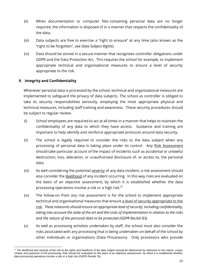- (ii) When documentation or computer files containing personal data are no longer required, the information is disposed of in a manner that respects the confidentiality of the data.
- (iii) Data subjects are free to exercise a "right to erasure" at any time (also known as the "right to be forgotten", see *Data Subject Rights*).
- (iv) Data should be stored in a secure manner that recognises controller obligations under GDPR and the Data Protection Act. This requires the school for example, to implement appropriate technical and organisational measures to ensure a level of security appropriate to the risk.

#### <span id="page-19-0"></span>**9. Integrity and Confidentiality**

Whenever personal data is processed by the school, technical and organisational measures are implemented to safeguard the privacy of data subjects. The school as controller is obliged to take its security responsibilities seriously, employing the most appropriate physical and technical measures, including staff training and awareness. These security procedures should be subject to regular review.

- (i) School employees are required to act at all times in a manner that helps to maintain the confidentiality of any data to which they have access. Guidance and training are important to help identify and reinforce appropriate protocols around data security.
- (ii) The school is legally required to consider the risks to the data subject when any processing of personal data is taking place under its control. Any Risk Assessment should take particular account of the impact of incidents such as accidental or unlawful destruction, loss, alteration, or unauthorised disclosure of, or access to, the personal data.
- (iii) As well considering the potential severity of any data incident, a risk assessment should also consider the likelihood of any incident occurring. In this way risks are evaluated on the basis of an objective assessment, by which it is established whether the data processing operations involve a risk or a high risk.<sup>27</sup>
- (iv) The follow-on from any risk assessment is for the school to implement appropriate technical and organisational measures that ensure a level of security appropriate to the risk. *These measures should ensure an appropriate level of security, including confidentiality, taking into account the state of the art and the costs of implementation in relation to the risks and the nature of the personal data to be protected (GDPR Recital 83).*
- (v) As well as processing activities undertaken by staff, the school must also consider the risks associated with any processing that is being undertaken on behalf of the school by other individuals or organisations (Data Processors). Only processors who provide

<sup>&</sup>lt;sup>27</sup> The likelihood and severity of the risk to the rights and freedoms of the data subject should be determined by reference to the nature, scope, context and purposes of the processing. Risk should be evaluated on the basis of an objective assessment, by which it is established whether data processing operations involve a risk or a high risk (GDPR Recital 76).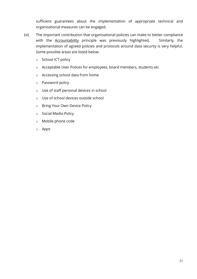sufficient guarantees about the implementation of appropriate technical and organisational measures can be engaged.

- (vi) The important contribution that organisational policies can make to better compliance with the Accountability principle was previously highlighted. Similarly, the implementation of agreed policies and protocols around data security is very helpful. Some possible areas are listed below.
	- o School ICT policy
	- o Acceptable User Polices for employees, board members, students etc
	- o Accessing school data from home
	- o Password policy
	- o Use of staff personal devices in school
	- o Use of school devices outside school
	- o Bring Your Own Device Policy
	- o Social Media Policy
	- o Mobile phone code
	- o Apps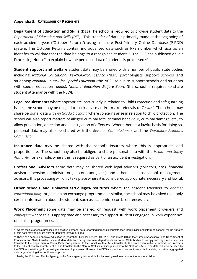#### <span id="page-21-0"></span>**Appendix 3. CATEGORIES OF RECIPIENTS**

**Department of Education and Skills (DES)** The school is required to provide student data to the *Department of Education and Skills (DES).* This transfer of data is primarily made at the beginning of each academic year ("October Returns") using a secure Post-Primary Online Database (P-POD) system. The October Returns contain individualised data such as PPS number which acts as an identifier to validate that the data belongs to a recognised student.<sup>28</sup> The DES has published a "Fair Processing Notice" to explain how the personal data of students is processed.<sup>29</sup>

**Student support and welfare** student data may be shared with a number of public state bodies including *National Educational Psychological Service* (NEPS psychologists support schools and students); *National Council for Special Education* (the NCSE role is to support schools and students with special education needs); *National Education Welfare Board* (the school is required to share student attendance with the NEWB).

**Legal requirements** where appropriate, particularly in relation to Child Protection and safeguarding issues, the school may be obliged to seek advice and/or make referrals to *Túsla. 30* The school may share personal data with *An Garda Síochána* where concerns arise in relation to child protection. The school will also report matters of alleged criminal acts, criminal behaviour, criminal damage, etc., to allow prevention, detection and investigation of offences. Where there is a lawful basis for doing so, personal data may also be shared with the *Revenue Commissioners* and the *Workplace Relations Commission.*

**Insurance** data may be shared with the school's insurers where this is appropriate and proportionate. The school may also be obliged to share personal data with the *Health and Safety Authority*, for example, where this is required as part of an accident investigation.

**Professional Advisors** some data may be shared with legal advisors (solicitors, etc.), financial advisors (pension administrators, accountants, etc.) and others such as school management advisors; this processing will only take place where it is considered appropriate, necessary and lawful.

**Other schools and Universities/Colleges/Institutes** where the student transfers to *another educational body*, or goes on an exchange programme or similar, the school may be asked to supply certain information about the student, such as academic record, references, etc.

**Work Placement** some data may be shared, on request, with work placement providers and *employers* where this is appropriate and necessary to support students engaged in work experience or similar programmes.

<sup>&</sup>lt;sup>28</sup> Where the October Returns include sensitive personal data regarding personal circumstances then explicit and informed consent for the transfer of this data may be sought from students/parents/guardians.

<sup>&</sup>lt;sup>29</sup> These can be found on www.education.ie (search for Circular Letters 0047/2010 and 0023/2016 in the "Circulars" section). The Department of Education and Skills transfers some student data to other government departments and other State bodies to comply with legislation, such as transfers to the Department of Social Protection pursuant to the Social Welfare Acts, transfers to the State Examinations Commission, transfers to the Educational Research Centre, and transfers to the Central Statistics Office pursuant to the Statistics Acts. The data will also be used by the DES for statistical, policy-making and research purposes. However the DES advises that it does not use individual data, but rather aggregated data is grouped together for these purposes.

<sup>&</sup>lt;sup>30</sup> Túsla, the Child and Family Agency, is the State agency responsible for improving wellbeing and outcomes for children.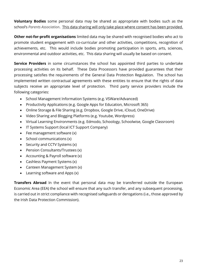**Voluntary Bodies** some personal data may be shared as appropriate with bodies such as the school's *Parents Association*. This data sharing will only take place where consent has been provided.

**Other not-for-profit organisations** limited data may be shared with recognised bodies who act to promote student engagement with co-curricular and other activities, competitions, recognition of achievements, etc. This would include bodies promoting participation in sports, arts, sciences, environmental and outdoor activities, etc. This data sharing will usually be based on consent.

**Service Providers** in some circumstances the school has appointed third parties to undertake processing activities on its behalf. These Data Processors have provided guarantees that their processing satisfies the requirements of the General Data Protection Regulation. The school has implemented written contractual agreements with these entities to ensure that the rights of data subjects receive an appropriate level of protection. Third party service providers include the following categories:

- School Management Information Systems (e.g. VSWare/Advanced)
- Productivity Applications (e.g. Google Apps for Education, Microsoft 365)
- Online Storage & File Sharing (e.g. Dropbox, Google Drive, iCloud, OneDrive)
- Video Sharing and Blogging Platforms (e.g. Youtube, Wordpress)
- Virtual Learning Environments (e.g. Edmodo, Schoology, Schoolwise, Google Classroom)
- IT Systems Support (local ICT Support Company)
- Fee management software (x)
- School communications (x)
- Security and CCTV Systems (x)
- Pension Consultants/Trustees (x)
- Accounting & Payroll software (x)
- Cashless Payment Systems (x)
- Canteen Management System (x)
- Learning software and Apps (x)

**Transfers Abroad** In the event that personal data may be transferred outside the European Economic Area (EEA) the school will ensure that any such transfer, and any subsequent processing, is carried out in strict compliance with recognised safeguards or derogations (i.e., those approved by the Irish Data Protection Commission).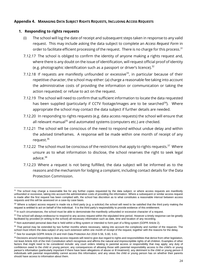#### <span id="page-23-1"></span><span id="page-23-0"></span>**Appendix 4. MANAGING DATA SUBJECT RIGHTS REQUESTS, INCLUDING ACCESS REQUESTS**

#### **1. Responding to rights requests**

- (i) The school will log the date of receipt and subsequent steps taken in response to any valid request. This may include asking the data subject to complete an *Access Request Form* in order to facilitate efficient processing of the request. There is no charge for this process.<sup>31</sup>
- 7.12.17 The school is obliged to confirm the identity of anyone making a rights request and, where there is any doubt on the issue of identification, will request official proof of identity (e.g. photographic identification such as a passport or driver's licence). $^{32}$
- 7.12.18 If requests are manifestly unfounded or excessive<sup>33</sup>, in particular because of their repetitive character, the school may either: (a) charge a reasonable fee taking into account the administrative costs of providing the information or communication or taking the action requested; or refuse to act on the request.
- 7.12.19 The school will need to confirm that sufficient information to locate the data requested has been supplied (particularly if CCTV footage/images are to be searched<sup>34</sup>). Where appropriate the school may contact the data subject if further details are needed.
- 7.12.20 In responding to rights requests (e.g. data access requests) the school will ensure that all relevant manual<sup>35</sup> and automated systems (computers etc.) are checked.
- 7.12.21 The school will be conscious of the need to respond without undue delay and within the advised timeframes. A response will be made within one month of receipt of any request.<sup>36</sup>
- 7.12.22 The school must be conscious of the restrictions that apply to rights requests.<sup>37</sup> Where unsure as to what information to disclose, the school reserves the right to seek legal advice.<sup>38</sup>
- 7.12.23 Where a request is not being fulfilled, the data subject will be informed as to the reasons and the mechanism for lodging a complaint, including contact details for the Data Protection Commission.

<sup>&</sup>lt;sup>31</sup> The school may charge a reasonable fee for any further copies requested by the data subject, or where access requests are manifestly unfounded or excessive, taking into account the administrative costs of providing the information. Where a subsequent or similar access request is made after the first request has been complied with, the school has discretion as to what constitutes a reasonable interval between access requests and this will be assessed on a case-by case basis.

<sup>&</sup>lt;sup>32</sup> Where a subject access request is made via a third party (e.g. a solicitor) the school will need to be satisfied that the third party making the request is entitled to act on behalf of the individual. It is the third party's responsibility to provide evidence of this entitlement.

<sup>&</sup>lt;sup>33</sup> In such circumstances, the school must be able to demonstrate the manifestly unfounded or excessive character of a request.

<sup>&</sup>lt;sup>34</sup> The school will always endeavour to respond to any access request within the stipulated time period. However a timely response can be greatly facilitated by provided (in writing to the school) all necessary information such as date, time and location of any recording.

<sup>&</sup>lt;sup>35</sup> Non-automated personal data that is held within a filing system or intended to form part of a filing system (GDPR Article 2).

<sup>&</sup>lt;sup>36</sup> That period may be extended by two further months where necessary, taking into account the complexity and number of the requests. The school must inform the data subject of any such extension within one month of receipt of the request, together with the reasons for the delay.

<sup>&</sup>lt;sup>37</sup> See for example GDPR Article 23 and Irish Data Protection Act 2018 S.56, S.60, S.61.

<sup>&</sup>lt;sup>38</sup> Decisions around responding to data access requests will need to give due regard to rights and responsibilities that derive from other legislation, not least Article 42A of the Irish Constitution which recognises and affirms the natural and imprescriptible rights of all children. Examples of other factors that might need to be considered include: any court orders relating to parental access or responsibility that may apply; any duty of confidence owed to the child or young person; any consequences of allowing those with parental responsibility access to the child's or young person's information (particularly important if there have been allegations of abuse or ill treatment); any detriment to the child or young person if individuals with parental responsibility cannot access this information; and any views the child or young person has on whether their parents should have access to information about them.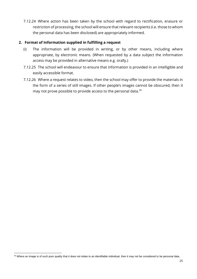7.12.24 Where action has been taken by the school with regard to rectification, erasure or restriction of processing, the school will ensure that relevant recipients (i.e. those to whom the personal data has been disclosed) are appropriately informed.

#### <span id="page-24-0"></span>**2. Format of Information supplied in fulfilling a request**

- (i) The information will be provided in writing, or by other means, including where appropriate, by electronic means. (When requested by a data subject the information access may be provided in alternative means e.g. orally.)
- 7.12.25 The school will endeavour to ensure that information is provided in an intelligible and easily accessible format.
- 7.12.26 Where a request relates to video, then the school may offer to provide the materials in the form of a series of still images. If other people's images cannot be obscured, then it may not prove possible to provide access to the personal data. $39$

<sup>39</sup> Where an image is of such poor quality that it does not relate to an identifiable individual, then it may not be considered to be personal data.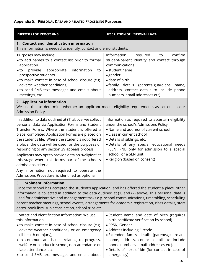#### <span id="page-25-0"></span>**Appendix 5. PERSONAL DATA AND RELATED PROCESSING Purposes**

| <b>PURPOSES FOR PROCESSING</b>                                                                                                                                                                                                                                                                                                                                                                                                                                                                                                                                                                                      | <b>DESCRIPTION OF PERSONAL DATA</b>                                                                                                                                                                                                                                                                                                                   |  |  |
|---------------------------------------------------------------------------------------------------------------------------------------------------------------------------------------------------------------------------------------------------------------------------------------------------------------------------------------------------------------------------------------------------------------------------------------------------------------------------------------------------------------------------------------------------------------------------------------------------------------------|-------------------------------------------------------------------------------------------------------------------------------------------------------------------------------------------------------------------------------------------------------------------------------------------------------------------------------------------------------|--|--|
| 1. Contact and identification information<br>This information is needed to identify, contact and enrol students.                                                                                                                                                                                                                                                                                                                                                                                                                                                                                                    |                                                                                                                                                                                                                                                                                                                                                       |  |  |
| Purposes may include:<br>. to add names to a contact list prior to formal<br>application<br>information<br>provide<br>appropriate<br>$\bullet$ to<br>to<br>prospective students<br>• to make contact in case of school closure (e.g.<br>adverse weather conditions)<br>• to send SMS text messages and emails about<br>meetings, etc.                                                                                                                                                                                                                                                                               | Information<br>confirm<br>required<br>to<br>student/parent identity and contact through<br>communications:<br>• student name<br>$\bullet$ gender<br>• date of birth<br>• family details (parents/guardians<br>name,<br>address, contact details to include phone<br>numbers, email addresses etc).                                                    |  |  |
| 2. Application information<br>We use this to determine whether an applicant meets eligibility requirements as set out in our<br>Admission Policy.                                                                                                                                                                                                                                                                                                                                                                                                                                                                   |                                                                                                                                                                                                                                                                                                                                                       |  |  |
| In addition to data outlined at (1) above, we collect<br>personal data via Application Forms and Student<br>Transfer Forms. Where the student is offered a<br>place, completed Application Forms are placed on<br>the student's file. Where the student is not offered<br>a place, the data will be used for the purposes of<br>responding to any section 29 appeals process.<br>Applicants may opt to provide data on "Religion" at<br>this stage where this forms part of the school's<br>admissions criteria.<br>Any information not required to operate the<br>Admissions Procedure, is identified as optional. | Information as required to ascertain eligibility<br>under the school's Admissions Policy:<br>• Name and address of current school<br>• Class in current school<br>• Details of siblings, etc.<br>. Details of any special educational needs<br>(SEN). (NB only for admission to a special<br>school, or a SEN unit).<br>• Religion (based on consent) |  |  |
| 3. Enrolment information<br>Once the school has accepted the student's application, and has offered the student a place, other<br>information is collected in addition to the data outlined at (1) and (2) above. This personal data is<br>used for administrative and management tasks e.g. school communications, timetabling, scheduling<br>parent teacher meetings, school events, arrangements for academic registration, class details, start<br>dates, book lists, subject-selection, school trips etc.                                                                                                      |                                                                                                                                                                                                                                                                                                                                                       |  |  |
| Contact and Identification Information: We use<br>this information:<br>• to make contact in case of school closure (e.g.<br>adverse weather conditions), or an emergency<br>(ill-health or injury),<br>• to communicate issues relating to progress,<br>welfare or conduct in school, non-attendance or<br>late attendance, etc.<br>• to send SMS text messages and emails about                                                                                                                                                                                                                                    | • Student name and date of birth (requires<br>birth certificate verification by school)<br>· PPSN, Gender<br>• Address including Eircode<br>• Extended family details (parents/guardians<br>name, address, contact details to include<br>phone numbers, email addresses etc).<br>• Details of next of kin (for contact in case of<br>emergency)       |  |  |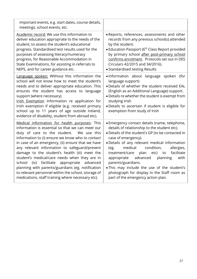| important events, e.g. start dates, course details,<br>meetings, school events, etc.                                                                                                                                                                                                                                                                                                                                                                                                                                                                                                                                            |                                                                                                                                                                                                                                                                                                                                                                                                                                                                                                                                       |
|---------------------------------------------------------------------------------------------------------------------------------------------------------------------------------------------------------------------------------------------------------------------------------------------------------------------------------------------------------------------------------------------------------------------------------------------------------------------------------------------------------------------------------------------------------------------------------------------------------------------------------|---------------------------------------------------------------------------------------------------------------------------------------------------------------------------------------------------------------------------------------------------------------------------------------------------------------------------------------------------------------------------------------------------------------------------------------------------------------------------------------------------------------------------------------|
| Academic record: We use this information to<br>deliver education appropriate to the needs of the<br>student, to assess the student's educational<br>progress. Standardised test results used for the<br>purposes of assessing literacy/numeracy<br>progress, for Reasonable Accommodation in<br>State Examinations, for assisting in referrals to<br>NEPS, and for career guidance etc.                                                                                                                                                                                                                                         | . Reports, references, assessments and other<br>records from any previous school(s) attended<br>by the student.<br>• Education Passport (6 <sup>th</sup> Class Report provided<br>by primary school after post-primary school<br>confirms enrolment. Protocols set out in DES<br>Circulars 42/2015 and 34/2016).<br>• Standardised testing Results                                                                                                                                                                                    |
| Language spoken: Without this information the<br>school will not know how to meet the student's<br>needs and to deliver appropriate education. This<br>ensures the student has access to language<br>support (where necessary).<br>Irish Exemption Information re application for<br>Irish exemption if eligible (e.g. received primary<br>school up to 11 years of age outside Ireland,<br>evidence of disability, student from abroad etc).                                                                                                                                                                                   | ·Information about language spoken (for<br>language support)<br>. Details of whether the student received EAL<br>(English as an Additional Language) support.<br>· Details re whether the student is exempt from<br>studying Irish<br>. Details to ascertain if student is eligible for<br>exemption from study of Irish                                                                                                                                                                                                              |
| Medical information for health purposes: This<br>information is essential so that we can meet our<br>duty of care to the student. We use this<br>information to (i) ensure we know who to contact<br>in case of an emergency, (ii) ensure that we have<br>any relevant information to safeguard/prevent<br>damage to the student's health (iii) meet the<br>student's medical/care needs when they are in<br>facilitate appropriate advanced<br>school<br>(iv)<br>planning with parents/guardians (eg. notification<br>to relevant personnel within the school, storage of<br>medications, staff training where necessary etc). | • Emergency contact details (name, telephone,<br>details of relationship to the student etc).<br>· Details of the student's GP (to be contacted in<br>case of emergency).<br>. Details of any relevant medical information<br>medical<br>condition,<br>allergies,<br>(eg.<br>plan<br>facilitate<br>treatment/care<br>etc) to<br>advanced<br>planning<br>with<br>appropriate<br>parents/guardians.<br>. This may include the use of the student's<br>photograph for display in the Staff room as<br>part of the emergency action plan. |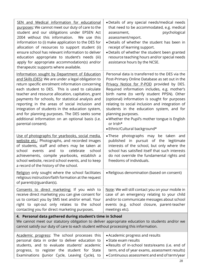| SEN and Medical information for educational<br>purposes: We cannot meet our duty of care to the<br>student and our obligations under EPSEN Act<br>2004 without this information. We use this<br>information to (i) make application to the DES for<br>allocation of resources to support student (ii)<br>ensure school has relevant information to deliver<br>education appropriate to student's needs (iii)<br>apply for appropriate accommodation(s) and/or<br>therapeutic supports where available.                                                    | • Details of any special needs/medical needs<br>that need to be accommodated, e.g. medical<br>psychological<br>assessment,<br>assessment/report.<br>• Details of whether the student has been in<br>receipt of learning support.<br>. Details of whether the student been granted<br>resource teaching hours and/or special needs<br>assistance hours by the NCSE.                                                                                                                                                  |  |
|-----------------------------------------------------------------------------------------------------------------------------------------------------------------------------------------------------------------------------------------------------------------------------------------------------------------------------------------------------------------------------------------------------------------------------------------------------------------------------------------------------------------------------------------------------------|---------------------------------------------------------------------------------------------------------------------------------------------------------------------------------------------------------------------------------------------------------------------------------------------------------------------------------------------------------------------------------------------------------------------------------------------------------------------------------------------------------------------|--|
| Information sought by Department of Education<br>and Skills (DES): We are under a legal obligation to<br>return specific enrolment information concerning<br>each student to DES. This is used to calculate<br>teacher and resource allocation, capitation, grant<br>payments for schools, for statistical analysis and<br>reporting in the areas of social inclusion and<br>integration of students in the education system,<br>and for planning purposes. The DES seeks some<br>additional information on an optional basis (i.e.<br>parental consent). | Personal data is transferred to the DES via the<br>Post-Primary Online Database as set out in the<br>Privacy Notice for P-POD provided by DES.<br>Required information includes, e.g. mother's<br>birth name (to verify student PPSN). Other<br>(optional) information is sought for purposes<br>relating to social inclusion and integration of<br>students in the education system, and for<br>planning purposes.<br>. Whether the Pupil's mother tongue is English<br>or Irish*<br>• Ethnic/Cultural background* |  |
| Use of photographs for yearbooks, social media,<br>website etc.: Photographs, and recorded images<br>of students, staff and others may be taken at<br>celebrate<br>school<br>school<br>events<br>and<br>to<br>achievements, compile yearbooks, establish a<br>school website, record school events, and to keep<br>a record of the history of the school.                                                                                                                                                                                                 | .These photographs may be taken and<br>published in pursuit of the legitimate<br>interests of the school, but only where the<br>school has satisfied itself that such interests<br>do not override the fundamental rights and<br>freedoms of individuals.                                                                                                                                                                                                                                                           |  |
| Religion only sought where the school facilitates<br>religious instruction/faith formation at the request<br>of parent(s)/guardian(s).                                                                                                                                                                                                                                                                                                                                                                                                                    | • Religious denomination (based on consent)                                                                                                                                                                                                                                                                                                                                                                                                                                                                         |  |
| Consents to direct marketing: If you wish to<br>receive direct marketing you can give consent for<br>us to contact you by SMS text and/or email. Your<br>right to opt-out only relates to the school<br>contacting you for direct marketing purposes.                                                                                                                                                                                                                                                                                                     | Note: We will still contact you on your mobile in<br>case of an emergency relating to your child<br>and/or to communicate messages about school<br>events (e.g. school closure, parent-teacher<br>meetings etc).                                                                                                                                                                                                                                                                                                    |  |
| 4. Personal data gathered during student's time in School<br>We cannot meet our statutory obligation to deliver appropriate education to students and/or we<br>cannot satisfy our duty of care to each student without processing this information.                                                                                                                                                                                                                                                                                                       |                                                                                                                                                                                                                                                                                                                                                                                                                                                                                                                     |  |
| Academic progress: The school processes this<br>personal data in order to deliver education to<br>students, and to evaluate students' academic<br>progress, to register the student for State<br>Examinations (Junior Cycle, Leaving Cycle), to                                                                                                                                                                                                                                                                                                           | • Academic progress and results<br>• State exam results<br>. Results of in-school tests/exams (i.e. end of<br>term, end of year exams, assessment results)<br>· Continuous assessment and end of term/year                                                                                                                                                                                                                                                                                                          |  |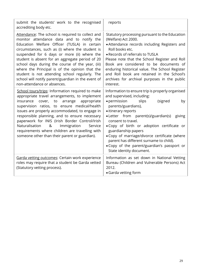| submit the students' work to the recognised<br>accrediting body etc.                                                                                                                                                                                                                                                                                                                                                                                                                                                                             | reports                                                                                                                                                                                                                                                                                                                                                                                                                                                                                   |
|--------------------------------------------------------------------------------------------------------------------------------------------------------------------------------------------------------------------------------------------------------------------------------------------------------------------------------------------------------------------------------------------------------------------------------------------------------------------------------------------------------------------------------------------------|-------------------------------------------------------------------------------------------------------------------------------------------------------------------------------------------------------------------------------------------------------------------------------------------------------------------------------------------------------------------------------------------------------------------------------------------------------------------------------------------|
| Attendance: The school is required to collect and<br>monitor attendance data and to notify the<br>Education Welfare Officer (TUSLA) in certain<br>circumstances, such as (i) where the student is<br>suspended for 6 days or more (ii) where the<br>student is absent for an aggregate period of 20<br>school days during the course of the year, (iii)<br>where the Principal is of the opinion that the<br>student is not attending school regularly. The<br>school will notify parent/guardian in the event of<br>non-attendance or absences. | Statutory processing pursuant to the Education<br>(Welfare) Act 2000.<br>• Attendance records including Registers and<br>Roll books etc.<br>• Records of referrals to TUSLA<br>Please note that the School Register and Roll<br>Book are considered to be documents of<br>enduring historical value. The School Register<br>and Roll book are retained in the School's<br>archives for archival purposes in the public<br>interest.                                                       |
| School tours/trips: Information required to make<br>appropriate travel arrangements, to implement<br>cover, to arrange<br>appropriate<br>insurance<br>supervision ratios, to ensure medical/health<br>issues are properly accommodated, to engage in<br>responsible planning, and to ensure necessary<br>paperwork for INIS (Irish Border Control/Irish<br>Naturalisation<br>&<br>Immigration<br>Service<br>requirements where children are travelling with<br>someone other than their parent or guardian).                                     | Information to ensure trip is properly organised<br>and supervised, including:<br>• permission<br>slips<br>(signed<br>by<br>parents/guardians),<br>• itinerary reports<br>• Letter from parent(s)/guardian(s)<br>giving<br>consent to travel.<br>. Copy of birth or adoption certificate or<br>guardianship papers<br>. Copy of marriage/divorce certificate (where<br>parent has different surname to child).<br>. Copy of the parent/guardian's passport or<br>State identity document. |
| Garda vetting outcomes: Certain work experience<br>roles may require that a student be Garda vetted<br>(Statutory vetting process).                                                                                                                                                                                                                                                                                                                                                                                                              | Information as set down in National Vetting<br>Bureau (Children and Vulnerable Persons) Act<br>2012.<br>• Garda vetting form                                                                                                                                                                                                                                                                                                                                                              |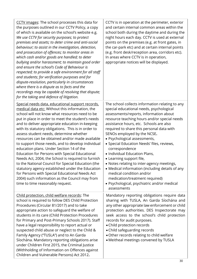| CCTV images: The school processes this data for<br>the purposes outlined in our CCTV Policy, a copy<br>of which is available on the school's website e.g.<br>We use CCTV for security purposes; to protect<br>premises and assets; to deter crime and anti-social<br>behaviour; to assist in the investigation, detection,<br>and prosecution of offences; to monitor areas in<br>which cash and/or goods are handled; to deter<br>bullying and/or harassment; to maintain good order<br>and ensure the school's Code of Behaviour is<br>respected; to provide a safe environment for all staff<br>and students; for verification purposes and for<br>dispute-resolution, particularly in circumstances<br>where there is a dispute as to facts and the<br>recordings may be capable of resolving that dispute;<br>for the taking and defence of litigation.                         | CCTV is in operation at the perimeter, exterior<br>and certain internal common areas within the<br>school both during the daytime and during the<br>night hours each day. CCTV is used at external<br>points on the premises (e.g. at front gates, in<br>the car-park etc) and at certain internal points<br>(e.g. front desk/reception area, corridors etc).<br>In areas where CCTV is in operation,<br>appropriate notices will be displayed.                                                                                                                                                                                                                                                        |
|--------------------------------------------------------------------------------------------------------------------------------------------------------------------------------------------------------------------------------------------------------------------------------------------------------------------------------------------------------------------------------------------------------------------------------------------------------------------------------------------------------------------------------------------------------------------------------------------------------------------------------------------------------------------------------------------------------------------------------------------------------------------------------------------------------------------------------------------------------------------------------------|--------------------------------------------------------------------------------------------------------------------------------------------------------------------------------------------------------------------------------------------------------------------------------------------------------------------------------------------------------------------------------------------------------------------------------------------------------------------------------------------------------------------------------------------------------------------------------------------------------------------------------------------------------------------------------------------------------|
| Special needs data, educational support records,<br>medical data etc: Without this information, the<br>school will not know what resources need to be<br>put in place in order to meet the student's needs<br>and to deliver appropriate education in-keeping<br>with its statutory obligations. This is in order to<br>assess student needs, determine whether<br>resources can be obtained and/or made available<br>to support those needs, and to develop individual<br>education plans. Under Section 14 of the<br><b>Education for Persons with Special Educational</b><br>Needs Act, 2004, the School is required to furnish<br>to the National Council for Special Education (the<br>statutory agency established under the Education<br>for Persons with Special Educational Needs Act<br>2004) such information as the Council may from<br>time to time reasonably request. | The school collects information relating to any<br>special educational needs, psychological<br>assessments/reports, information about<br>resource teaching hours and/or special needs<br>assistance hours, etc. Schools are also<br>required to share this personal data with<br>SENOs employed by the NCSE.<br>· Psychological assessments,<br>· Special Education Needs' files, reviews,<br>correspondence<br>· Individual Education Plans,<br>• Learning support file,<br>• Notes relating to inter-agency meetings,<br>• Medical information (including details of any<br>medical condition and/or<br>medication/treatment required)<br>· Psychological, psychiatric and/or medical<br>assessments |
| Child protection, child welfare records: The<br>school is required to follow DES Child Protection<br>Procedures (Circular 81/2017) and to take<br>appropriate action to safeguard the welfare of<br>students in its care (Child Protection Procedures<br>for Primary and Post-Primary Schools 2017). Staff<br>have a legal responsibility to report actual or<br>suspected child abuse or neglect to the Child &<br>Family Agency ("TUSLA") and to An Garda<br>Síochána. Mandatory reporting obligations arise<br>under Children First 2015, the Criminal Justice<br>(Withholding of Information on Offences against<br>Children and Vulnerable Persons) Act 2012.                                                                                                                                                                                                                   | Mandatory reporting obligations require data<br>sharing with TUSLA, An Garda Síochána and<br>any other appropriate law enforcement or child<br>protection authorities. DES Inspectorate may<br>seek access to the school's child protection<br>records for audit purposes.<br>• Child protection records<br>• Child safeguarding records<br>. Other records relating to child welfare<br>• Meitheal meetings convened by TUSLA                                                                                                                                                                                                                                                                         |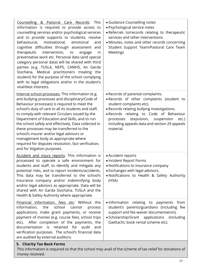| Counselling & Pastoral Care Records: This<br>information is required to provide access to<br>counselling services and/or psychological services<br>and to provide supports to students, resolve<br>motivational,<br>behavioural,<br>emotional<br>and<br>cognitive difficulties through assessment and<br>intervention,<br>therapeutic<br>in<br>to<br>engage<br>preventative work etc. Personal data (and special<br>category personal data) will be shared with third<br>parties (e.g. TUSLA, NEPS, CAMHS, An Garda<br>Síochána, Medical practitioners treating the<br>student) for the purpose of the school complying<br>with its legal obligations and/or in the student's<br>vital/best interests. | • Guidance Counselling notes<br>· Psychological service notes<br>· Referrals to/records relating to therapeutic<br>services and other interventions<br>· Minutes, notes and other records concerning<br>Student Support Team/Pastoral Care Team<br>Meetings                                                     |
|--------------------------------------------------------------------------------------------------------------------------------------------------------------------------------------------------------------------------------------------------------------------------------------------------------------------------------------------------------------------------------------------------------------------------------------------------------------------------------------------------------------------------------------------------------------------------------------------------------------------------------------------------------------------------------------------------------|-----------------------------------------------------------------------------------------------------------------------------------------------------------------------------------------------------------------------------------------------------------------------------------------------------------------|
| Internal school processes: This information (e.g.<br>anti-bullying processes and disciplinary/Code of<br>Behaviour processes) is required to meet the<br>school's duty of care to all its students and staff,<br>to comply with relevant Circulars issued by the<br>Department of Education and Skills, and to run<br>the school safely and effectively. Data collected in<br>these processes may be transferred to the<br>school's insurer and/or legal advisors or<br>management body as appropriate where<br>required for disputes resolution, fact verification,<br>and for litigation purposes.                                                                                                   | • Records of parental complaints.<br>. Records of other complaints (student to<br>student complaints etc).<br>. Records relating bullying investigations.<br>· Records relating to Code of Behaviour<br>processes (expulsion, suspension<br>etc.)<br>including appeals data and section 29 appeals<br>material. |
| Accident and injury reports: This information is<br>processed to operate a safe environment for<br>students and staff, to identify and mitigate any<br>potential risks, and to report incidents/accidents.<br>This data may be transferred to the school's<br>insurance company and/or indemnifying body<br>and/or legal advisors as appropriate. Data will be<br>shared with An Garda Síochána, TUSLA and the<br>Health & Safety Authority where appropriate.                                                                                                                                                                                                                                         | • Accident reports<br>· Incident Report Forms<br>• Notifications to insurance company<br>• Exchanges with legal advisors.<br>. Notifications to Health & Safety Authority<br>(HSA)                                                                                                                              |
| Financial information, fees etc: Without this<br>school<br>information,<br>the<br>cannot<br>process<br>applications, make grant payments, or receive<br>payment of monies (e.g. course fees, school trips<br>etc). After completion of the payments, the<br>retained for audit<br>documentation is<br>and<br>verification purposes. The school's financial data<br>are audited by external auditors.<br>E Charity Tay Dack Forms                                                                                                                                                                                                                                                                       | . Information relating to payments from<br>student's parents/guardians (including fee<br>support and fee waiver documentation),<br>• Scholarship/Grant applications<br>(including)<br>Gaeltacht, book rental scheme etc).                                                                                       |

#### **5. Charity Tax Back Forms**

This information is required so that the school may avail of the scheme of tax relief for donations of money received.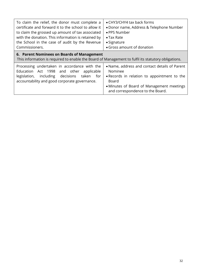| To claim the relief, the donor must complete a<br>certificate and forward it to the school to allow it<br>to claim the grossed up amount of tax associated<br>with the donation. This information is retained by<br>the School in the case of audit by the Revenue<br>Commissioners. | • CHY3/CHY4 tax back forms<br>• Donor name, Address & Telephone Number<br>• PPS Number<br>$\bullet$ Tax Rate<br>• Signature<br>• Gross amount of donation                                                |  |
|--------------------------------------------------------------------------------------------------------------------------------------------------------------------------------------------------------------------------------------------------------------------------------------|----------------------------------------------------------------------------------------------------------------------------------------------------------------------------------------------------------|--|
| 6. Parent Nominees on Boards of Management<br>This information is required to enable the Board of Management to fulfil its statutory obligations.                                                                                                                                    |                                                                                                                                                                                                          |  |
| Processing undertaken in accordance with the<br>Education Act 1998 and other<br>applicable<br>including decisions<br>for<br>taken<br>legislation,<br>accountability and good corporate governance.                                                                                   | • Name, address and contact details of Parent<br>Nominee<br>• Records in relation to appointment to the<br><b>Board</b><br>• Minutes of Board of Management meetings<br>and correspondence to the Board. |  |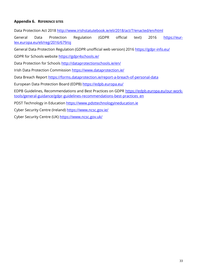#### **Appendix 6. REFERENCE SITES**

Data Protection Act 2018<http://www.irishstatutebook.ie/eli/2018/act/7/enacted/en/html>

General Data Protection Regulation (GDPR official text) 2016 [https://eur](https://eur-lex.europa.eu/eli/reg/2016/679/oj)[lex.europa.eu/eli/reg/2016/679/oj](https://eur-lex.europa.eu/eli/reg/2016/679/oj)

General Data Protection Regulation (GDPR unofficial web version) 2016<https://gdpr-info.eu/>

GDPR for Schools website<https://gdpr4schools.ie/>

Data Protection for Schools<http://dataprotectionschools.ie/en/>

Irish Data Protection Commission<https://www.dataprotection.ie/>

Data Breach Report<https://forms.dataprotection.ie/report-a-breach-of-personal-data>

European Data Protection Board (EDPB)<https://edpb.europa.eu/>

EDPB Guidelines, Recommendations and Best Practices on GDPR [https://edpb.europa.eu/our-work](https://edpb.europa.eu/our-work-tools/general-guidance/gdpr-guidelines-recommendations-best-practices_en)[tools/general-guidance/gdpr-guidelines-recommendations-best-practices\\_en](https://edpb.europa.eu/our-work-tools/general-guidance/gdpr-guidelines-recommendations-best-practices_en)

PDST Technology in Education [https://www.pdsttechnologyineducation.ie](https://www.pdsttechnologyineducation.ie/)

Cyber Security Centre (Ireland)<https://www.ncsc.gov.ie/>

Cyber Security Centre (UK)<https://www.ncsc.gov.uk/>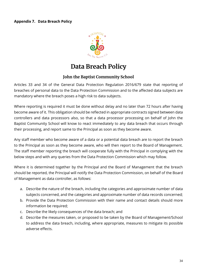#### **Appendix 7. Data Breach Policy**



# **Data Breach Policy**

#### **John the Baptist Community School**

Articles 33 and 34 of the General Data Protection Regulation 2016/679 state that reporting of breaches of personal data to the Data Protection Commission and to the affected data subjects are mandatory where the breach poses a high risk to data subjects.

Where reporting is required it must be done without delay and no later than 72 hours after having become aware of it. This obligation should be reflected in appropriate contracts signed between data controllers and data processors also, so that a data processor processing on behalf of John the Baptist Community School will know to react immediately to any data breach that occurs through their processing, and report same to the Principal as soon as they become aware.

Any staff member who become aware of a data or a potential data breach are to report the breach to the Principal as soon as they become aware, who will then report to the Board of Management. The staff member reporting the breach will cooperate fully with the Principal in complying with the below steps and with any queries from the Data Protection Commission which may follow.

Where it is determined together by the Principal and the Board of Management that the breach should be reported, the Principal will notify the Data Protection Commission, on behalf of the Board of Management as data controller, as follows:

- a. Describe the nature of the breach, including the categories and approximate number of data subjects concerned, and the categories and approximate number of data records concerned;
- b. Provide the Data Protection Commission with their name and contact details should more information be required;
- c. Describe the likely consequences of the data breach; and
- d. Describe the measures taken, or proposed to be taken by the Board of Management/School to address the data breach, including, where appropriate, measures to mitigate its possible adverse effects.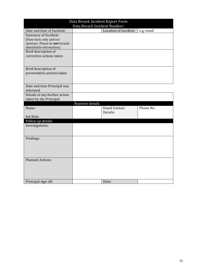| Data Breach Incident Report Form |                  |                       |            |  |
|----------------------------------|------------------|-----------------------|------------|--|
| Data Breach Incident Number:     |                  |                       |            |  |
| Date and time of Incident:       |                  | Location of Incident: | e.g. email |  |
| <b>Summary of Incident:</b>      |                  |                       |            |  |
| (State facts only and not        |                  |                       |            |  |
| opinions. Please do not include  |                  |                       |            |  |
| identifiable information)        |                  |                       |            |  |
| Brief description of             |                  |                       |            |  |
| corrective actions taken         |                  |                       |            |  |
|                                  |                  |                       |            |  |
|                                  |                  |                       |            |  |
| Brief description of             |                  |                       |            |  |
| preventative actions taken       |                  |                       |            |  |
|                                  |                  |                       |            |  |
| Date and time Principal was      |                  |                       |            |  |
| informed                         |                  |                       |            |  |
| Details of any further action    |                  |                       |            |  |
| taken by the Principal           |                  |                       |            |  |
|                                  | Reporter details |                       |            |  |
| Name:                            |                  | <b>Email Contact</b>  | Phone No:  |  |
|                                  |                  | Details:              |            |  |
| Job Role:                        |                  |                       |            |  |
| Follow up details                |                  |                       |            |  |
| Investigations:                  |                  |                       |            |  |
|                                  |                  |                       |            |  |
|                                  |                  |                       |            |  |
| Findings:                        |                  |                       |            |  |
|                                  |                  |                       |            |  |
|                                  |                  |                       |            |  |
|                                  |                  |                       |            |  |
|                                  |                  |                       |            |  |
| <b>Planned Actions:</b>          |                  |                       |            |  |
|                                  |                  |                       |            |  |
|                                  |                  |                       |            |  |
|                                  |                  |                       |            |  |
|                                  |                  |                       |            |  |
| Principal sign off:              |                  | Date:                 |            |  |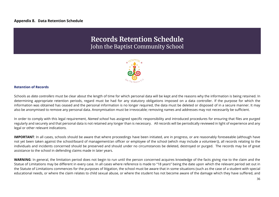## **Records Retention Schedule**  John the Baptist Community School



#### **Retention of Records**

Schools as *data controllers* must be clear about the length of time for which personal data will be kept and the reasons why the information is being retained. In determining appropriate retention periods, regard must be had for any statutory obligations imposed on a data controller. If the purpose for which the information was obtained has ceased and the personal information is no longer required, the data must be deleted or disposed of in a secure manner. It may also be anonymised to remove any personal data. Anonymisation must be irrevocable; removing names and addresses may not necessarily be sufficient.

In order to comply with this legal requirement, *Named school* has assigned specific responsibility and introduced procedures for ensuring that files are purged regularly and securely and that personal data is not retained any longer than is necessary. All records will be periodically reviewed in light of experience and any legal or other relevant indications.

**IMPORTANT**: In all cases, schools should be aware that where proceedings have been initiated, are in progress, or are reasonably foreseeable (although have not yet been taken against the school/board of management/an officer or employee of the school (which may include a volunteer)), all records relating to the individuals and incidents concerned should be preserved and should under no circumstances be deleted, destroyed or purged. The records may be of great assistance to the school in defending claims made in later years.

WARNING: In general, the limitation period does not begin to run until the person concerned acquires knowledge of the facts giving rise to the claim and the Statue of Limitations may be different in every case. In all cases where reference is made to "18 years" being the date upon which the relevant period set out in the Statute of Limitations commences for the purposes of litigation, the school must be aware that in some situations (such as the case of a student with special educational needs, or where the claim relates to child sexual abuse, or where the student has not become aware of the damage which they have suffered, and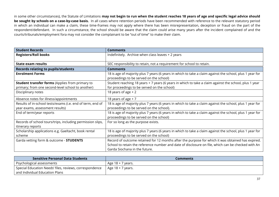in some other circumstances), the Statute of Limitations **may not begin to run when the student reaches 18 years of age and specific legal advice should be sought by schools on a case-by-case basis.** In all cases where retention periods have been recommended with reference to the relevant statutory period in which an individual can make a claim, these time-frames may not apply where there has been misrepresentation, deception or fraud on the part of the respondent/defendant. In such a circumstance, the school should be aware that the claim could arise many years after the incident complained of and the courts/tribunals/employment fora may not consider the complainant to be "out of time" to make their claim.

| <b>Student Records</b>                                     | <b>Comments</b>                                                                                          |
|------------------------------------------------------------|----------------------------------------------------------------------------------------------------------|
| <b>Registers/Roll books</b>                                | Indefinitely. Archive when class leaves + 2 years                                                        |
|                                                            |                                                                                                          |
| <b>State exam results</b>                                  | SEC responsibility to retain, not a requirement for school to retain.                                    |
| <b>Records relating to pupils/students</b>                 | <b>Comments</b>                                                                                          |
| <b>Enrolment Forms</b>                                     | 18 is age of majority plus 7 years (6 years in which to take a claim against the school, plus 1 year for |
|                                                            | proceedings to be served on the school)                                                                  |
| <b>Student transfer forms</b> (Applies from primary to     | Student reaching 18 years + 7 years (6 years in which to take a claim against the school, plus 1 year    |
| primary; from one second-level school to another)          | for proceedings to be served on the school)                                                              |
| Disciplinary notes                                         | 18 years of age $+2$                                                                                     |
| Absence notes for illness/appointments                     | 18 years of age $+7$                                                                                     |
| Results of in-school tests/exams (i.e. end of term, end of | 18 is age of majority plus 7 years (6 years in which to take a claim against the school, plus 1 year for |
| year exams, assessment results)                            | proceedings to be served on the school).                                                                 |
| End of term/year reports                                   | 18 is age of majority plus 7 years (6 years in which to take a claim against the school, plus 1 year for |
|                                                            | proceedings to be served on the school)                                                                  |
| Records of school tours/trips, including permission slips, | For so long as the purpose exists.                                                                       |
| itinerary reports                                          |                                                                                                          |
| Scholarship applications e.g. Gaeltacht, book rental       | 18 is age of majority plus 7 years (6 years in which to take a claim against the school, plus 1 year for |
| scheme                                                     | proceedings to be served on the school)                                                                  |
| Garda vetting form & outcome - STUDENTS                    | Record of outcome retained for 12 months after the purpose for which it was obtained has expired.        |
|                                                            | School to retain the reference number and date of disclosure on file, which can be checked with An       |
|                                                            | Garda Siochana in the future.                                                                            |

| <b>Sensitive Personal Data Students</b>                 | Comments            |
|---------------------------------------------------------|---------------------|
| Psychological assessments                               | Age $18 + 7$ years. |
| Special Education Needs' files, reviews, correspondence | Age $18 + 7$ years. |
| and Individual Education Plans                          |                     |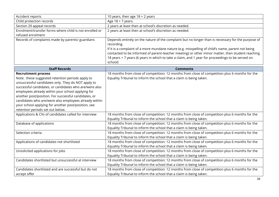| Accident reports                                        | 10 years, then age 18 + 2 years                                                                                                                                                                                       |
|---------------------------------------------------------|-----------------------------------------------------------------------------------------------------------------------------------------------------------------------------------------------------------------------|
| Child protection records                                | Age $18 + 7$ years.                                                                                                                                                                                                   |
| Section 29 appeal records                               | 2 years at least then at school's discretion as needed.                                                                                                                                                               |
| Enrolment/transfer forms where child is not enrolled or | 2 years at least then at school's discretion as needed.                                                                                                                                                               |
| refused enrolment                                       |                                                                                                                                                                                                                       |
| Records of complaints made by parents/ guardians        | Depends entirely on the nature of the complaint but no longer than is necessary for the purpose of<br>recording.<br>If it is a complaint of a more mundane nature (e.g. misspelling of child's name, parent not being |
|                                                         | contacted to be informed of parent-teacher meeting) or other minor matter, then student reaching<br>18 years + 7 years (6 years in which to take a claim, and 1 year for proceedings to be served on                  |
|                                                         | school)                                                                                                                                                                                                               |
| <b>Staff Records</b>                                    | <b>Comments</b>                                                                                                                                                                                                       |
| <b>Recruitment process</b>                              | 18 months from close of competition: 12 months from close of competition plus 6 months for the                                                                                                                        |
| Note: these suggested retention periods apply to        | Equality Tribunal to inform the school that a claim is being taken.                                                                                                                                                   |
| unsuccessful candidates only. They do NOT apply to      |                                                                                                                                                                                                                       |
| successful candidates, or candidates who are/were also  |                                                                                                                                                                                                                       |
| employees already within your school applying for       |                                                                                                                                                                                                                       |
| another post/position. For successful candidates, or    |                                                                                                                                                                                                                       |
| candidates who are/were also employees already within   |                                                                                                                                                                                                                       |
| your school applying for another post/position, see     |                                                                                                                                                                                                                       |
| retention periods set out below.                        |                                                                                                                                                                                                                       |
| Applications & CVs of candidates called for interview   | 18 months from close of competition: 12 months from close of competition plus 6 months for the<br>Equality Tribunal to inform the school that a claim is being taken.                                                 |
| Database of applications                                | 18 months from close of competition: 12 months from close of competition plus 6 months for the                                                                                                                        |
|                                                         | Equality Tribunal to inform the school that a claim is being taken.                                                                                                                                                   |
| Selection criteria                                      | 18 months from close of competition: 12 months from close of competition plus 6 months for the                                                                                                                        |
|                                                         | Equality Tribunal to inform the school that a claim is being taken.                                                                                                                                                   |
| Applications of candidates not shortlisted              | 18 months from close of competition: 12 months from close of competition plus 6 months for the                                                                                                                        |
|                                                         | Equality Tribunal to inform the school that a claim is being taken.                                                                                                                                                   |
| Unsolicited applications for jobs                       | 18 months from close of competition: 12 months from close of competition plus 6 months for the                                                                                                                        |
|                                                         | Equality Tribunal to inform the school that a claim is being taken.                                                                                                                                                   |
| Candidates shortlisted but unsuccessful at interview    | 18 months from close of competition: 12 months from close of competition plus 6 months for the                                                                                                                        |
|                                                         | Equality Tribunal to inform the school that a claim is being taken.                                                                                                                                                   |
| Candidates shortlisted and are successful but do not    | 18 months from close of competition: 12 months from close of competition plus 6 months for the                                                                                                                        |
| accept offer                                            | Equality Tribunal to inform the school that a claim is being taken.                                                                                                                                                   |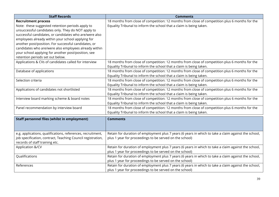| <b>Staff Records</b>                                        | <b>Comments</b>                                                                                      |
|-------------------------------------------------------------|------------------------------------------------------------------------------------------------------|
| <b>Recruitment process</b>                                  | 18 months from close of competition: 12 months from close of competition plus 6 months for the       |
| Note: these suggested retention periods apply to            | Equality Tribunal to inform the school that a claim is being taken.                                  |
| unsuccessful candidates only. They do NOT apply to          |                                                                                                      |
| successful candidates, or candidates who are/were also      |                                                                                                      |
| employees already within your school applying for           |                                                                                                      |
| another post/position. For successful candidates, or        |                                                                                                      |
| candidates who are/were also employees already within       |                                                                                                      |
| your school applying for another post/position, see         |                                                                                                      |
| retention periods set out below.                            |                                                                                                      |
| Applications & CVs of candidates called for interview       | 18 months from close of competition: 12 months from close of competition plus 6 months for the       |
|                                                             | Equality Tribunal to inform the school that a claim is being taken.                                  |
| Database of applications                                    | 18 months from close of competition: 12 months from close of competition plus 6 months for the       |
|                                                             | Equality Tribunal to inform the school that a claim is being taken.                                  |
| Selection criteria                                          | 18 months from close of competition: 12 months from close of competition plus 6 months for the       |
|                                                             | Equality Tribunal to inform the school that a claim is being taken.                                  |
| Applications of candidates not shortlisted                  | 18 months from close of competition: 12 months from close of competition plus 6 months for the       |
|                                                             | Equality Tribunal to inform the school that a claim is being taken.                                  |
| Interview board marking scheme & board notes                | 18 months from close of competition: 12 months from close of competition plus 6 months for the       |
|                                                             | Equality Tribunal to inform the school that a claim is being taken.                                  |
| Panel recommendation by interview board                     | 18 months from close of competition: 12 months from close of competition plus 6 months for the       |
|                                                             | Equality Tribunal to inform the school that a claim is being taken.                                  |
| <b>Staff personnel files (whilst in employment)</b>         | <b>Comments</b>                                                                                      |
|                                                             |                                                                                                      |
|                                                             |                                                                                                      |
| e.g. applications, qualifications, references, recruitment, | Retain for duration of employment plus 7 years (6 years in which to take a claim against the school, |
| job specification, contract, Teaching Council registration, | plus 1 year for proceedings to be served on the school)                                              |
| records of staff training etc.                              |                                                                                                      |
| Application &/CV                                            | Retain for duration of employment plus 7 years (6 years in which to take a claim against the school, |
|                                                             | plus 1 year for proceedings to be served on the school)                                              |
| Qualifications                                              | Retain for duration of employment plus 7 years (6 years in which to take a claim against the school, |
|                                                             | plus 1 year for proceedings to be served on the school)                                              |
| References                                                  | Retain for duration of employment plus 7 years (6 years in which to take a claim against the school, |
|                                                             | plus 1 year for proceedings to be served on the school)                                              |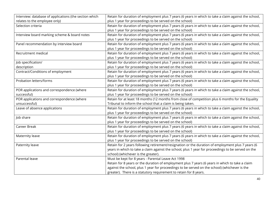| Interview: database of applications (the section which | Retain for duration of employment plus 7 years (6 years in which to take a claim against the school, |
|--------------------------------------------------------|------------------------------------------------------------------------------------------------------|
| relates to the employee only)                          | plus 1 year for proceedings to be served on the school)                                              |
| Selection criteria                                     | Retain for duration of employment plus 7 years (6 years in which to take a claim against the school, |
|                                                        | plus 1 year for proceedings to be served on the school)                                              |
| Interview board marking scheme & board notes           | Retain for duration of employment plus 7 years (6 years in which to take a claim against the school, |
|                                                        | plus 1 year for proceedings to be served on the school)                                              |
| Panel recommendation by interview board                | Retain for duration of employment plus 7 years (6 years in which to take a claim against the school, |
|                                                        | plus 1 year for proceedings to be served on the school)                                              |
| Recruitment medical                                    | Retain for duration of employment plus 7 years (6 years in which to take a claim against the school, |
|                                                        | plus 1 year for proceedings to be served on the school)                                              |
| Job specification/                                     | Retain for duration of employment plus 7 years (6 years in which to take a claim against the school, |
| description                                            | plus 1 year for proceedings to be served on the school)                                              |
| Contract/Conditions of employment                      | Retain for duration of employment plus 7 years (6 years in which to take a claim against the school, |
|                                                        | plus 1 year for proceedings to be served on the school)                                              |
| Probation letters/forms                                | Retain for duration of employment plus 7 years (6 years in which to take a claim against the school, |
|                                                        | plus 1 year for proceedings to be served on the school)                                              |
| POR applications and correspondence (where             | Retain for duration of employment plus 7 years (6 years in which to take a claim against the school, |
| successful)                                            | plus 1 year for proceedings to be served on the school)                                              |
| POR applications and correspondence (where             | Retain for at least 18 months (12 months from close of competition plus 6 months for the Equality    |
| unsuccessful)                                          | Tribunal to inform the school that a claim is being taken.                                           |
| Leave of absence applications                          | Retain for duration of employment plus 7 years (6 years in which to take a claim against the school, |
|                                                        | plus 1 year for proceedings to be served on the school)                                              |
| Job share                                              | Retain for duration of employment plus 7 years (6 years in which to take a claim against the school, |
|                                                        | plus 1 year for proceedings to be served on the school)                                              |
| Career Break                                           | Retain for duration of employment plus 7 years (6 years in which to take a claim against the school, |
|                                                        | plus 1 year for proceedings to be served on the school)                                              |
| Maternity leave                                        | Retain for duration of employment plus 7 years (6 years in which to take a claim against the school, |
|                                                        | plus 1 year for proceedings to be served on the school)                                              |
| Paternity leave                                        | Retain for 2 years following retirement/resignation or the duration of employment plus 7 years (6    |
|                                                        | years in which to take a claim against the school, plus 1 year for proceedings to be served on the   |
|                                                        | school) (whichever is the greater).                                                                  |
| Parental leave                                         | Must be kept for 8 years - Parental Leave Act 1998                                                   |
|                                                        | Retain for 8 years or the duration of employment plus 7 years (6 years in which to take a claim      |
|                                                        | against the school, plus 1 year for proceedings to be served on the school) (whichever is the        |
|                                                        | greater). There is a statutory requirement to retain for 8 years.                                    |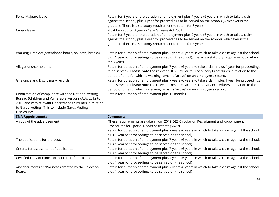| Force Majeure leave                                                                                                                                                                                                                           | Retain for 8 years or the duration of employment plus 7 years (6 years in which to take a claim<br>against the school, plus 1 year for proceedings to be served on the school) (whichever is the<br>greater). There is a statutory requirement to retain for 8 years.                                                     |
|-----------------------------------------------------------------------------------------------------------------------------------------------------------------------------------------------------------------------------------------------|---------------------------------------------------------------------------------------------------------------------------------------------------------------------------------------------------------------------------------------------------------------------------------------------------------------------------|
| Carers leave                                                                                                                                                                                                                                  | Must be kept for 8 years - Carer's Leave Act 2001<br>Retain for 8 years or the duration of employment plus 7 years (6 years in which to take a claim<br>against the school, plus 1 year for proceedings to be served on the school) (whichever is the<br>greater). There is a statutory requirement to retain for 8 years |
| Working Time Act (attendance hours, holidays, breaks)                                                                                                                                                                                         | Retain for duration of employment plus 7 years (6 years in which to take a claim against the school,<br>plus 1 year for proceedings to be served on the school). There is a statutory requirement to retain<br>for 3 years                                                                                                |
| Allegations/complaints                                                                                                                                                                                                                        | Retain for duration of employment plus 7 years (6 years to take a claim, plus 1 year for proceedings<br>to be served). Please note the relevant DES Circular re Disciplinary Procedures in relation to the<br>period of time for which a warning remains "active" on an employee's record.                                |
| Grievance and Disciplinary records                                                                                                                                                                                                            | Retain for duration of employment plus 7 years (6 years to take a claim, plus 1 year for proceedings<br>to be served). Please note the relevant DES Circular re Disciplinary Procedures in relation to the<br>period of time for which a warning remains "active" on an employee's record.                                |
| Confirmation of compliance with the National Vetting<br>Bureau (Children and Vulnerable Persons) Acts 2012 to<br>2016 and with relevant Department's circulars in relation<br>to Garda vetting. This to include Garda Vetting<br>Disclosures. | Retain for duration of employment plus 12 months.                                                                                                                                                                                                                                                                         |
| <b>SNA Appointments</b>                                                                                                                                                                                                                       | <b>Comments</b>                                                                                                                                                                                                                                                                                                           |
| A copy of the advertisement.                                                                                                                                                                                                                  | These requirements are taken from 2019 DES Circular on Recruitment and Appointment<br>Procedures for Special Needs Assistants (SNAs)<br>Retain for duration of employment plus 7 years (6 years in which to take a claim against the school,<br>plus 1 year for proceedings to be served on the school)                   |
| The applications for the post.                                                                                                                                                                                                                | Retain for duration of employment plus 7 years (6 years in which to take a claim against the school,<br>plus 1 year for proceedings to be served on the school)                                                                                                                                                           |
| Criteria for assessment of applicants.                                                                                                                                                                                                        | Retain for duration of employment plus 7 years (6 years in which to take a claim against the school,<br>plus 1 year for proceedings to be served on the school)                                                                                                                                                           |
| Certified copy of Panel Form 1 (PF1) (if applicable)                                                                                                                                                                                          | Retain for duration of employment plus 7 years (6 years in which to take a claim against the school,<br>plus 1 year for proceedings to be served on the school)                                                                                                                                                           |
| Any documents and/or notes created by the Selection                                                                                                                                                                                           | Retain for duration of employment plus 7 years (6 years in which to take a claim against the school,                                                                                                                                                                                                                      |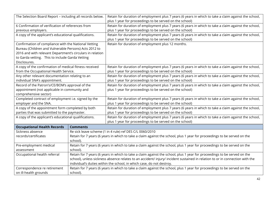| The Selection Board Report - including all records below. |                                                                                                                          | Retain for duration of employment plus 7 years (6 years in which to take a claim against the school,                         |
|-----------------------------------------------------------|--------------------------------------------------------------------------------------------------------------------------|------------------------------------------------------------------------------------------------------------------------------|
|                                                           |                                                                                                                          | plus 1 year for proceedings to be served on the school)                                                                      |
| 6 Confirmation of verification of references from         |                                                                                                                          | Retain for duration of employment plus 7 years (6 years in which to take a claim against the school,                         |
| previous employers.                                       |                                                                                                                          | plus 1 year for proceedings to be served on the school)                                                                      |
| A copy of the applicant's educational qualifications.     |                                                                                                                          | Retain for duration of employment plus 7 years (6 years in which to take a claim against the school,                         |
|                                                           |                                                                                                                          | plus 1 year for proceedings to be served on the school)                                                                      |
| Confirmation of compliance with the National Vetting      |                                                                                                                          | Retain for duration of employment plus 12 months.                                                                            |
| Bureau (Children and Vulnerable Persons) Acts 2012 to     |                                                                                                                          |                                                                                                                              |
| 2016 and with relevant Department's circulars in relation |                                                                                                                          |                                                                                                                              |
| to Garda vetting. This to include Garda Vetting           |                                                                                                                          |                                                                                                                              |
| Disclosures.                                              |                                                                                                                          |                                                                                                                              |
| A copy of the confirmation of medical fitness received    |                                                                                                                          | Retain for duration of employment plus 7 years (6 years in which to take a claim against the school,                         |
| from the Occupational Health Service.                     |                                                                                                                          | plus 1 year for proceedings to be served on the school)                                                                      |
| Any other relevant documentation relating to an           |                                                                                                                          | Retain for duration of employment plus 7 years (6 years in which to take a claim against the school,                         |
| individual SNA's appointment.                             |                                                                                                                          | plus 1 year for proceedings to be served on the school)                                                                      |
| Record of the Patron's/CE/BOM's approval of the           |                                                                                                                          | Retain for duration of employment plus 7 years (6 years in which to take a claim against the school,                         |
| appointment (not applicable in community and              |                                                                                                                          | plus 1 year for proceedings to be served on the school)                                                                      |
| comprehensive sector)                                     |                                                                                                                          |                                                                                                                              |
| Completed contract of employment i.e. signed by the       |                                                                                                                          | Retain for duration of employment plus 7 years (6 years in which to take a claim against the school,                         |
| employer and the SNA.                                     |                                                                                                                          | plus 1 year for proceedings to be served on the school)                                                                      |
| A copy of the appointment form completed by both          |                                                                                                                          | Retain for duration of employment plus 7 years (6 years in which to take a claim against the school,                         |
| parties that was submitted to the paymaster.              |                                                                                                                          | plus 1 year for proceedings to be served on the school)                                                                      |
| A copy of the applicant's educational qualifications.     |                                                                                                                          | Retain for duration of employment plus 7 years (6 years in which to take a claim against the school,                         |
|                                                           |                                                                                                                          | plus 1 year for proceedings to be served on the school)                                                                      |
| <b>Occupational Health Records</b>                        | <b>Comments</b>                                                                                                          |                                                                                                                              |
| Sickness absence                                          |                                                                                                                          | Re sick leave scheme (1 in 4 rule) ref DES C/L 0060/2010                                                                     |
| records/certificates                                      | Retain for 7 years (6 years in which to take a claim against the school, plus 1 year for proceedings to be served on the |                                                                                                                              |
|                                                           | school).                                                                                                                 |                                                                                                                              |
| Pre-employment medical                                    | Retain for 7 years (6 years in which to take a claim against the school, plus 1 year for proceedings to be served on the |                                                                                                                              |
| assessment                                                | school).                                                                                                                 |                                                                                                                              |
| Occupational health referral                              | Retain for 7 years (6 years in which to take a claim against the school, plus 1 year for proceedings to be served on the |                                                                                                                              |
|                                                           |                                                                                                                          | school), unless sickness absence relates to an accident/ injury/ incident sustained in relation to or in connection with the |
|                                                           |                                                                                                                          | individual's duties within the school, in which case, do not destroy.                                                        |
| Correspondence re retirement                              | Retain for 7 years (6 years in which to take a claim against the school, plus 1 year for proceedings to be served on the |                                                                                                                              |
| on ill-health grounds                                     | school).                                                                                                                 |                                                                                                                              |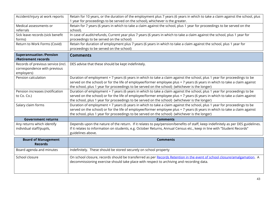| Accident/injury at work reports                                                  | Retain for 10 years, or the duration of the employment plus 7 years (6 years in which to take a claim against the school, plus<br>1 year for proceedings to be served on the school), whichever is the greater.                                                                                                                                         |
|----------------------------------------------------------------------------------|---------------------------------------------------------------------------------------------------------------------------------------------------------------------------------------------------------------------------------------------------------------------------------------------------------------------------------------------------------|
| Medical assessments or<br>referrals                                              | Retain for 7 years (6 years in which to take a claim against the school, plus 1 year for proceedings to be served on the<br>school).                                                                                                                                                                                                                    |
| Sick leave records (sick benefit<br>forms)                                       | In case of audit/refunds, Current year plus 7 years (6 years in which to take a claim against the school, plus 1 year for<br>proceedings to be served on the school)                                                                                                                                                                                    |
| Return to Work Forms (Covid)                                                     | Retain for duration of employment plus 7 years (6 years in which to take a claim against the school, plus 1 year for<br>proceedings to be served on the school)                                                                                                                                                                                         |
| <b>Superannuation /Pension</b><br>/Retirement records                            | <b>Comments</b>                                                                                                                                                                                                                                                                                                                                         |
| Records of previous service (incl.<br>correspondence with previous<br>employers) | DES advise that these should be kept indefinitely.                                                                                                                                                                                                                                                                                                      |
| Pension calculation                                                              | Duration of employment + 7 years (6 years in which to take a claim against the school, plus 1 year for proceedings to be<br>served on the school) or for the life of employee/former employee plus + 7 years (6 years in which to take a claim against<br>the school, plus 1 year for proceedings to be served on the school) (whichever is the longer) |
| Pension increases (notification<br>to Co. Co.)                                   | Duration of employment + 7 years (6 years in which to take a claim against the school, plus 1 year for proceedings to be<br>served on the school) or for the life of employee/former employee plus + 7 years (6 years in which to take a claim against<br>the school, plus 1 year for proceedings to be served on the school) (whichever is the longer) |
| Salary claim forms                                                               | Duration of employment + 7 years (6 years in which to take a claim against the school, plus 1 year for proceedings to be<br>served on the school) or for the life of employee/former employee plus + 7 years (6 years in which to take a claim against<br>the school, plus 1 year for proceedings to be served on the school) (whichever is the longer) |
| <b>Government returns</b>                                                        | <b>Comments</b>                                                                                                                                                                                                                                                                                                                                         |
| Any returns which identify<br>individual staff/pupils,                           | Depends upon the nature of the return. If it relates to pay/pension/benefits of staff, keep indefinitely as per DES guidelines.<br>If it relates to information on students, e.g. October Returns, Annual Census etc., keep in line with "Student Records"<br>guidelines above.                                                                         |
| <b>Board of Management</b><br><b>Records</b>                                     | <b>Comments</b>                                                                                                                                                                                                                                                                                                                                         |
| Board agenda and minutes                                                         | Indefinitely. These should be stored securely on school property                                                                                                                                                                                                                                                                                        |
| School closure                                                                   | On school closure, records should be transferred as per Records Retention in the event of school closure/amalgamation. A<br>decommissioning exercise should take place with respect to archiving and recording data.                                                                                                                                    |